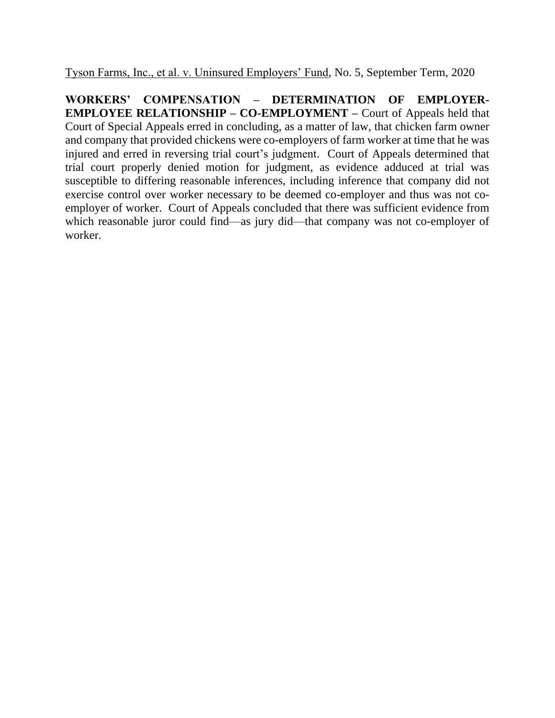Tyson Farms, Inc., et al. v. Uninsured Employers' Fund, No. 5, September Term, 2020

**WORKERS' COMPENSATION – DETERMINATION OF EMPLOYER-EMPLOYEE RELATIONSHIP – CO-EMPLOYMENT –** Court of Appeals held that Court of Special Appeals erred in concluding, as a matter of law, that chicken farm owner and company that provided chickens were co-employers of farm worker at time that he was injured and erred in reversing trial court's judgment. Court of Appeals determined that trial court properly denied motion for judgment, as evidence adduced at trial was susceptible to differing reasonable inferences, including inference that company did not exercise control over worker necessary to be deemed co-employer and thus was not coemployer of worker. Court of Appeals concluded that there was sufficient evidence from which reasonable juror could find—as jury did—that company was not co-employer of worker.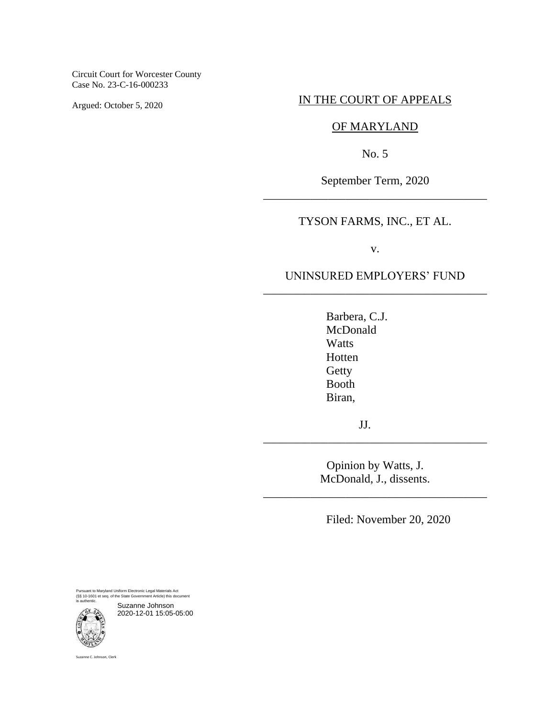Circuit Court for Worcester County Case No. 23-C-16-000233

Argued: October 5, 2020

### IN THE COURT OF APPEALS

# OF MARYLAND

No. 5

September Term, 2020 \_\_\_\_\_\_\_\_\_\_\_\_\_\_\_\_\_\_\_\_\_\_\_\_\_\_\_\_\_\_\_\_\_\_\_\_\_\_

## TYSON FARMS, INC., ET AL.

v.

## UNINSURED EMPLOYERS' FUND \_\_\_\_\_\_\_\_\_\_\_\_\_\_\_\_\_\_\_\_\_\_\_\_\_\_\_\_\_\_\_\_\_\_\_\_\_\_

Barbera, C.J. McDonald Watts Hotten **Getty** Booth Biran,

JJ.

Opinion by Watts, J. McDonald, J., dissents.

\_\_\_\_\_\_\_\_\_\_\_\_\_\_\_\_\_\_\_\_\_\_\_\_\_\_\_\_\_\_\_\_\_\_\_\_\_\_

\_\_\_\_\_\_\_\_\_\_\_\_\_\_\_\_\_\_\_\_\_\_\_\_\_\_\_\_\_\_\_\_\_\_\_\_\_\_

Filed: November 20, 2020

Pursuant to Maryland Uniform Electronic Legal Materials Act (§§ 10-1601 et seq. of the State Government Article) this document is authentic.



Suzanne C. Johnson, Clerk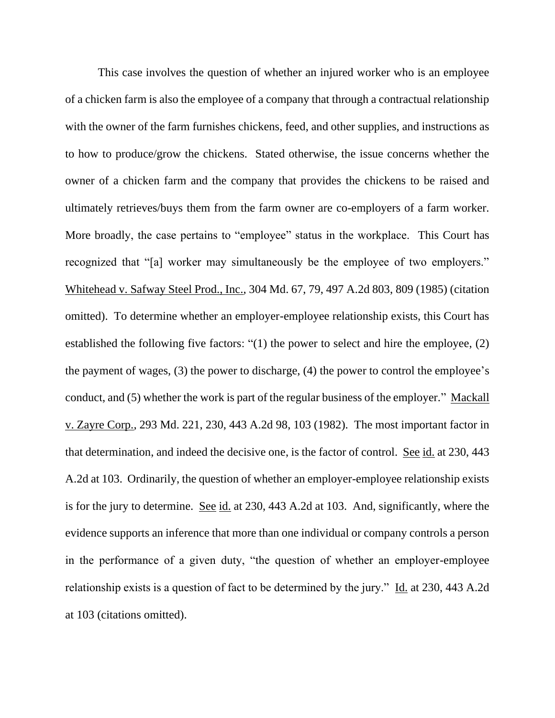This case involves the question of whether an injured worker who is an employee of a chicken farm is also the employee of a company that through a contractual relationship with the owner of the farm furnishes chickens, feed, and other supplies, and instructions as to how to produce/grow the chickens. Stated otherwise, the issue concerns whether the owner of a chicken farm and the company that provides the chickens to be raised and ultimately retrieves/buys them from the farm owner are co-employers of a farm worker. More broadly, the case pertains to "employee" status in the workplace. This Court has recognized that "[a] worker may simultaneously be the employee of two employers." Whitehead v. Safway Steel Prod., Inc., 304 Md. 67, 79, 497 A.2d 803, 809 (1985) (citation omitted). To determine whether an employer-employee relationship exists, this Court has established the following five factors: "(1) the power to select and hire the employee, (2) the payment of wages, (3) the power to discharge, (4) the power to control the employee's conduct, and (5) whether the work is part of the regular business of the employer." Mackall v. Zayre Corp., 293 Md. 221, 230, 443 A.2d 98, 103 (1982). The most important factor in that determination, and indeed the decisive one, is the factor of control. See id. at 230, 443 A.2d at 103. Ordinarily, the question of whether an employer-employee relationship exists is for the jury to determine. See id. at 230, 443 A.2d at 103. And, significantly, where the evidence supports an inference that more than one individual or company controls a person in the performance of a given duty, "the question of whether an employer-employee relationship exists is a question of fact to be determined by the jury." Id. at 230, 443 A.2d at 103 (citations omitted).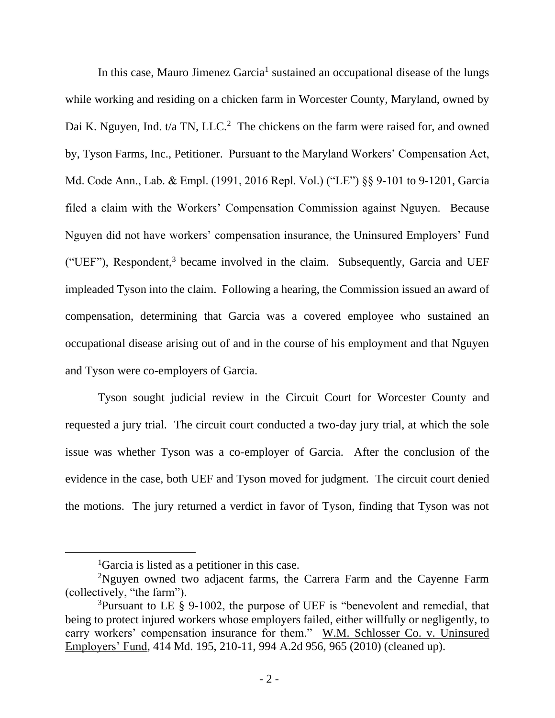In this case, Mauro Jimenez Garcia<sup>1</sup> sustained an occupational disease of the lungs while working and residing on a chicken farm in Worcester County, Maryland, owned by Dai K. Nguyen, Ind.  $t/a$  TN, LLC.<sup>2</sup> The chickens on the farm were raised for, and owned by, Tyson Farms, Inc., Petitioner. Pursuant to the Maryland Workers' Compensation Act, Md. Code Ann., Lab. & Empl. (1991, 2016 Repl. Vol.) ("LE") §§ 9-101 to 9-1201, Garcia filed a claim with the Workers' Compensation Commission against Nguyen. Because Nguyen did not have workers' compensation insurance, the Uninsured Employers' Fund ("UEF"), Respondent,<sup>3</sup> became involved in the claim. Subsequently, Garcia and UEF impleaded Tyson into the claim. Following a hearing, the Commission issued an award of compensation, determining that Garcia was a covered employee who sustained an occupational disease arising out of and in the course of his employment and that Nguyen and Tyson were co-employers of Garcia.

Tyson sought judicial review in the Circuit Court for Worcester County and requested a jury trial. The circuit court conducted a two-day jury trial, at which the sole issue was whether Tyson was a co-employer of Garcia. After the conclusion of the evidence in the case, both UEF and Tyson moved for judgment. The circuit court denied the motions. The jury returned a verdict in favor of Tyson, finding that Tyson was not

<sup>1</sup>Garcia is listed as a petitioner in this case.

<sup>&</sup>lt;sup>2</sup>Nguyen owned two adjacent farms, the Carrera Farm and the Cayenne Farm (collectively, "the farm").

<sup>3</sup>Pursuant to LE § 9-1002, the purpose of UEF is "benevolent and remedial, that being to protect injured workers whose employers failed, either willfully or negligently, to carry workers' compensation insurance for them." W.M. Schlosser Co. v. Uninsured Employers' Fund, 414 Md. 195, 210-11, 994 A.2d 956, 965 (2010) (cleaned up).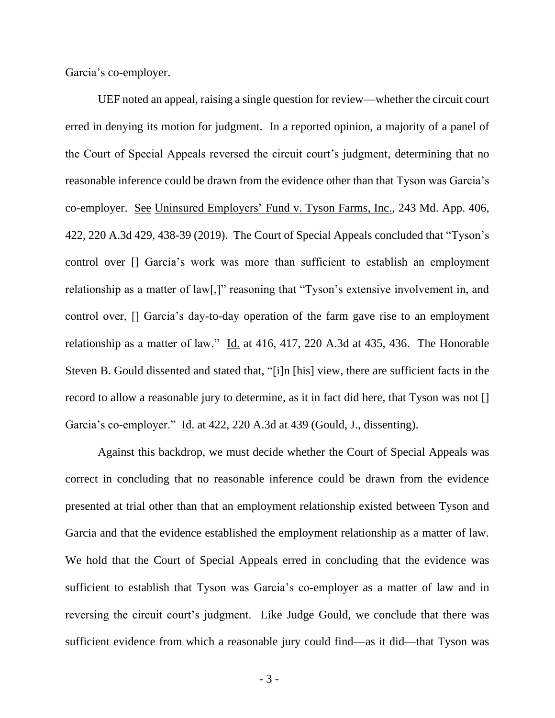Garcia's co-employer.

UEF noted an appeal, raising a single question for review—whether the circuit court erred in denying its motion for judgment. In a reported opinion, a majority of a panel of the Court of Special Appeals reversed the circuit court's judgment, determining that no reasonable inference could be drawn from the evidence other than that Tyson was Garcia's co-employer. See Uninsured Employers' Fund v. Tyson Farms, Inc., 243 Md. App. 406, 422, 220 A.3d 429, 438-39 (2019). The Court of Special Appeals concluded that "Tyson's control over [] Garcia's work was more than sufficient to establish an employment relationship as a matter of law[,]" reasoning that "Tyson's extensive involvement in, and control over, [] Garcia's day-to-day operation of the farm gave rise to an employment relationship as a matter of law." Id. at 416, 417, 220 A.3d at 435, 436. The Honorable Steven B. Gould dissented and stated that, "[i]n [his] view, there are sufficient facts in the record to allow a reasonable jury to determine, as it in fact did here, that Tyson was not [] Garcia's co-employer." Id. at 422, 220 A.3d at 439 (Gould, J., dissenting).

Against this backdrop, we must decide whether the Court of Special Appeals was correct in concluding that no reasonable inference could be drawn from the evidence presented at trial other than that an employment relationship existed between Tyson and Garcia and that the evidence established the employment relationship as a matter of law. We hold that the Court of Special Appeals erred in concluding that the evidence was sufficient to establish that Tyson was Garcia's co-employer as a matter of law and in reversing the circuit court's judgment. Like Judge Gould, we conclude that there was sufficient evidence from which a reasonable jury could find—as it did—that Tyson was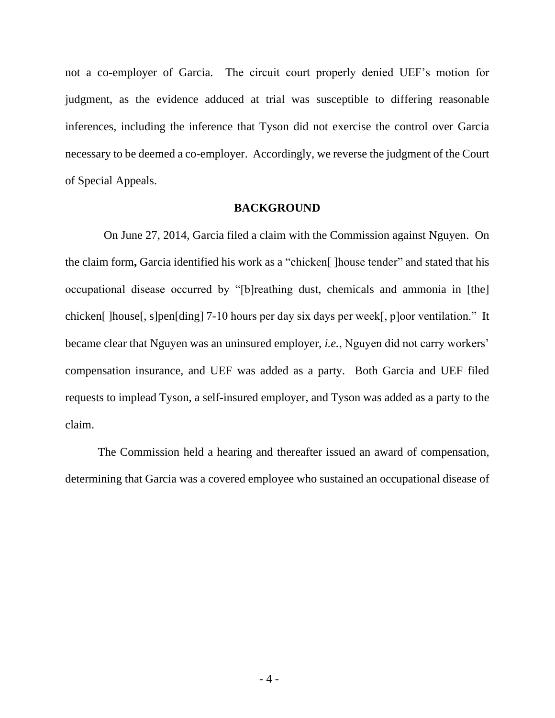not a co-employer of Garcia. The circuit court properly denied UEF's motion for judgment, as the evidence adduced at trial was susceptible to differing reasonable inferences, including the inference that Tyson did not exercise the control over Garcia necessary to be deemed a co-employer. Accordingly, we reverse the judgment of the Court of Special Appeals.

### **BACKGROUND**

 On June 27, 2014, Garcia filed a claim with the Commission against Nguyen. On the claim form**,** Garcia identified his work as a "chicken[ ]house tender" and stated that his occupational disease occurred by "[b]reathing dust, chemicals and ammonia in [the] chicken[ ]house[, s]pen[ding] 7-10 hours per day six days per week[, p]oor ventilation." It became clear that Nguyen was an uninsured employer, *i.e.*, Nguyen did not carry workers' compensation insurance, and UEF was added as a party. Both Garcia and UEF filed requests to implead Tyson, a self-insured employer, and Tyson was added as a party to the claim.

The Commission held a hearing and thereafter issued an award of compensation, determining that Garcia was a covered employee who sustained an occupational disease of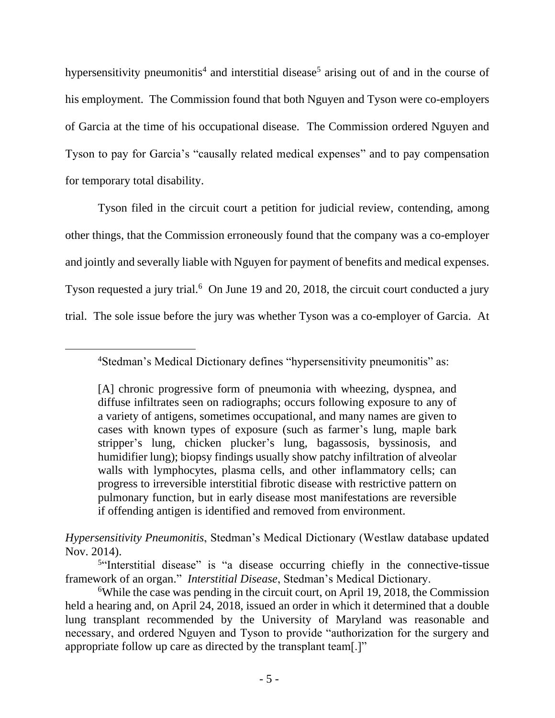hypersensitivity pneumonitis<sup>4</sup> and interstitial disease<sup>5</sup> arising out of and in the course of his employment. The Commission found that both Nguyen and Tyson were co-employers of Garcia at the time of his occupational disease. The Commission ordered Nguyen and Tyson to pay for Garcia's "causally related medical expenses" and to pay compensation for temporary total disability.

Tyson filed in the circuit court a petition for judicial review, contending, among other things, that the Commission erroneously found that the company was a co-employer and jointly and severally liable with Nguyen for payment of benefits and medical expenses. Tyson requested a jury trial.<sup>6</sup> On June 19 and 20, 2018, the circuit court conducted a jury trial. The sole issue before the jury was whether Tyson was a co-employer of Garcia. At

*Hypersensitivity Pneumonitis*, Stedman's Medical Dictionary (Westlaw database updated Nov. 2014).

<sup>5"</sup>Interstitial disease" is "a disease occurring chiefly in the connective-tissue framework of an organ." *Interstitial Disease*, Stedman's Medical Dictionary.

<sup>&</sup>lt;sup>4</sup>Stedman's Medical Dictionary defines "hypersensitivity pneumonitis" as:

<sup>[</sup>A] chronic progressive form of pneumonia with wheezing, dyspnea, and diffuse infiltrates seen on radiographs; occurs following exposure to any of a variety of antigens, sometimes occupational, and many names are given to cases with known types of exposure (such as farmer's lung, maple bark stripper's lung, chicken plucker's lung, bagassosis, byssinosis, and humidifier lung); biopsy findings usually show patchy infiltration of alveolar walls with lymphocytes, plasma cells, and other inflammatory cells; can progress to irreversible interstitial fibrotic disease with restrictive pattern on pulmonary function, but in early disease most manifestations are reversible if offending antigen is identified and removed from environment.

<sup>6</sup>While the case was pending in the circuit court, on April 19, 2018, the Commission held a hearing and, on April 24, 2018, issued an order in which it determined that a double lung transplant recommended by the University of Maryland was reasonable and necessary, and ordered Nguyen and Tyson to provide "authorization for the surgery and appropriate follow up care as directed by the transplant team[.]"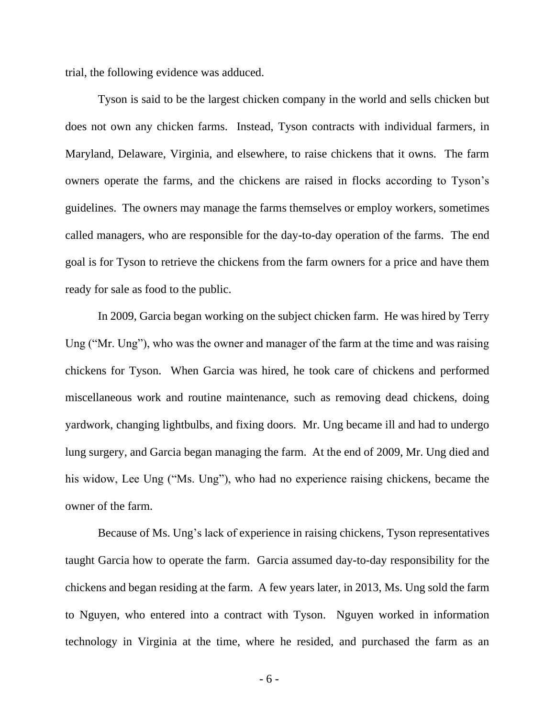trial, the following evidence was adduced.

Tyson is said to be the largest chicken company in the world and sells chicken but does not own any chicken farms. Instead, Tyson contracts with individual farmers, in Maryland, Delaware, Virginia, and elsewhere, to raise chickens that it owns. The farm owners operate the farms, and the chickens are raised in flocks according to Tyson's guidelines. The owners may manage the farms themselves or employ workers, sometimes called managers, who are responsible for the day-to-day operation of the farms. The end goal is for Tyson to retrieve the chickens from the farm owners for a price and have them ready for sale as food to the public.

In 2009, Garcia began working on the subject chicken farm. He was hired by Terry Ung ("Mr. Ung"), who was the owner and manager of the farm at the time and was raising chickens for Tyson. When Garcia was hired, he took care of chickens and performed miscellaneous work and routine maintenance, such as removing dead chickens, doing yardwork, changing lightbulbs, and fixing doors. Mr. Ung became ill and had to undergo lung surgery, and Garcia began managing the farm. At the end of 2009, Mr. Ung died and his widow, Lee Ung ("Ms. Ung"), who had no experience raising chickens, became the owner of the farm.

Because of Ms. Ung's lack of experience in raising chickens, Tyson representatives taught Garcia how to operate the farm. Garcia assumed day-to-day responsibility for the chickens and began residing at the farm. A few years later, in 2013, Ms. Ung sold the farm to Nguyen, who entered into a contract with Tyson. Nguyen worked in information technology in Virginia at the time, where he resided, and purchased the farm as an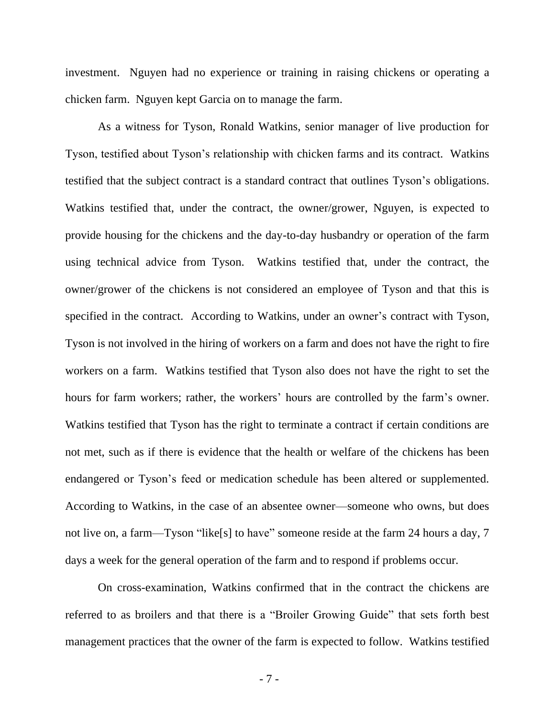investment. Nguyen had no experience or training in raising chickens or operating a chicken farm. Nguyen kept Garcia on to manage the farm.

As a witness for Tyson, Ronald Watkins, senior manager of live production for Tyson, testified about Tyson's relationship with chicken farms and its contract. Watkins testified that the subject contract is a standard contract that outlines Tyson's obligations. Watkins testified that, under the contract, the owner/grower, Nguyen, is expected to provide housing for the chickens and the day-to-day husbandry or operation of the farm using technical advice from Tyson. Watkins testified that, under the contract, the owner/grower of the chickens is not considered an employee of Tyson and that this is specified in the contract. According to Watkins, under an owner's contract with Tyson, Tyson is not involved in the hiring of workers on a farm and does not have the right to fire workers on a farm. Watkins testified that Tyson also does not have the right to set the hours for farm workers; rather, the workers' hours are controlled by the farm's owner. Watkins testified that Tyson has the right to terminate a contract if certain conditions are not met, such as if there is evidence that the health or welfare of the chickens has been endangered or Tyson's feed or medication schedule has been altered or supplemented. According to Watkins, in the case of an absentee owner—someone who owns, but does not live on, a farm—Tyson "like[s] to have" someone reside at the farm 24 hours a day, 7 days a week for the general operation of the farm and to respond if problems occur.

On cross-examination, Watkins confirmed that in the contract the chickens are referred to as broilers and that there is a "Broiler Growing Guide" that sets forth best management practices that the owner of the farm is expected to follow. Watkins testified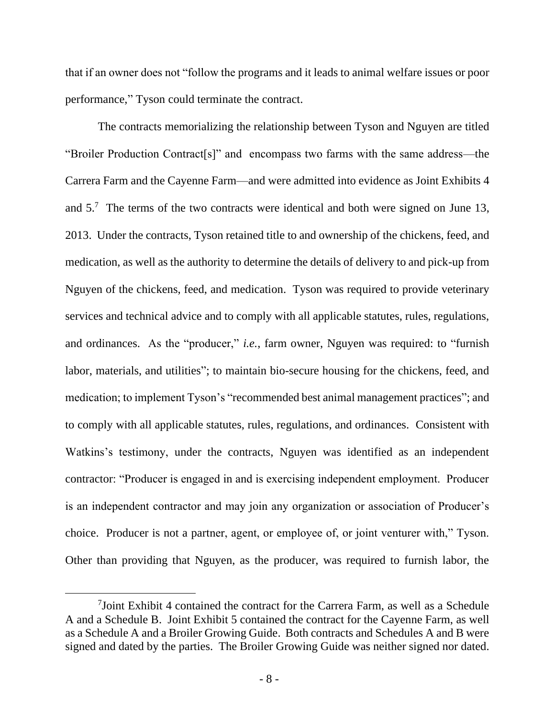that if an owner does not "follow the programs and it leads to animal welfare issues or poor performance," Tyson could terminate the contract.

The contracts memorializing the relationship between Tyson and Nguyen are titled "Broiler Production Contract[s]" and encompass two farms with the same address—the Carrera Farm and the Cayenne Farm—and were admitted into evidence as Joint Exhibits 4 and 5.<sup>7</sup> The terms of the two contracts were identical and both were signed on June 13, 2013. Under the contracts, Tyson retained title to and ownership of the chickens, feed, and medication, as well as the authority to determine the details of delivery to and pick-up from Nguyen of the chickens, feed, and medication. Tyson was required to provide veterinary services and technical advice and to comply with all applicable statutes, rules, regulations, and ordinances. As the "producer," *i.e.*, farm owner, Nguyen was required: to "furnish labor, materials, and utilities"; to maintain bio-secure housing for the chickens, feed, and medication; to implement Tyson's "recommended best animal management practices"; and to comply with all applicable statutes, rules, regulations, and ordinances. Consistent with Watkins's testimony, under the contracts, Nguyen was identified as an independent contractor: "Producer is engaged in and is exercising independent employment. Producer is an independent contractor and may join any organization or association of Producer's choice. Producer is not a partner, agent, or employee of, or joint venturer with," Tyson. Other than providing that Nguyen, as the producer, was required to furnish labor, the

<sup>7</sup> Joint Exhibit 4 contained the contract for the Carrera Farm, as well as a Schedule A and a Schedule B. Joint Exhibit 5 contained the contract for the Cayenne Farm, as well as a Schedule A and a Broiler Growing Guide. Both contracts and Schedules A and B were signed and dated by the parties. The Broiler Growing Guide was neither signed nor dated.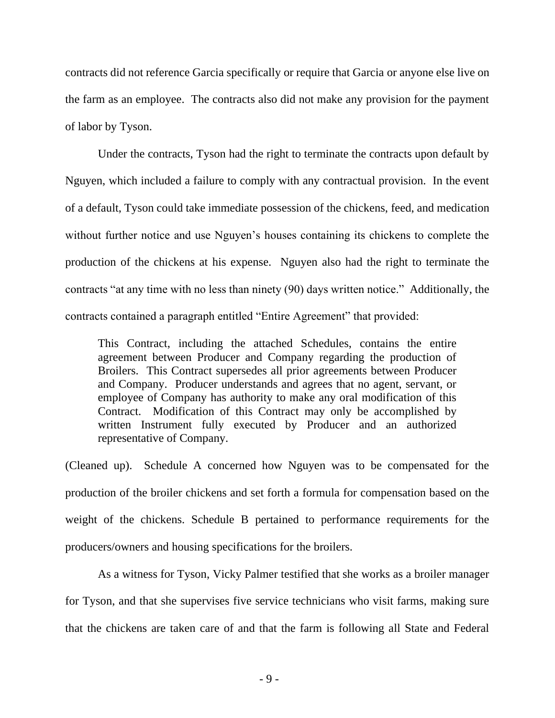contracts did not reference Garcia specifically or require that Garcia or anyone else live on the farm as an employee. The contracts also did not make any provision for the payment of labor by Tyson.

Under the contracts, Tyson had the right to terminate the contracts upon default by Nguyen, which included a failure to comply with any contractual provision. In the event of a default, Tyson could take immediate possession of the chickens, feed, and medication without further notice and use Nguyen's houses containing its chickens to complete the production of the chickens at his expense. Nguyen also had the right to terminate the contracts "at any time with no less than ninety (90) days written notice." Additionally, the contracts contained a paragraph entitled "Entire Agreement" that provided:

This Contract, including the attached Schedules, contains the entire agreement between Producer and Company regarding the production of Broilers. This Contract supersedes all prior agreements between Producer and Company. Producer understands and agrees that no agent, servant, or employee of Company has authority to make any oral modification of this Contract. Modification of this Contract may only be accomplished by written Instrument fully executed by Producer and an authorized representative of Company.

(Cleaned up). Schedule A concerned how Nguyen was to be compensated for the production of the broiler chickens and set forth a formula for compensation based on the weight of the chickens. Schedule B pertained to performance requirements for the producers/owners and housing specifications for the broilers.

As a witness for Tyson, Vicky Palmer testified that she works as a broiler manager for Tyson, and that she supervises five service technicians who visit farms, making sure that the chickens are taken care of and that the farm is following all State and Federal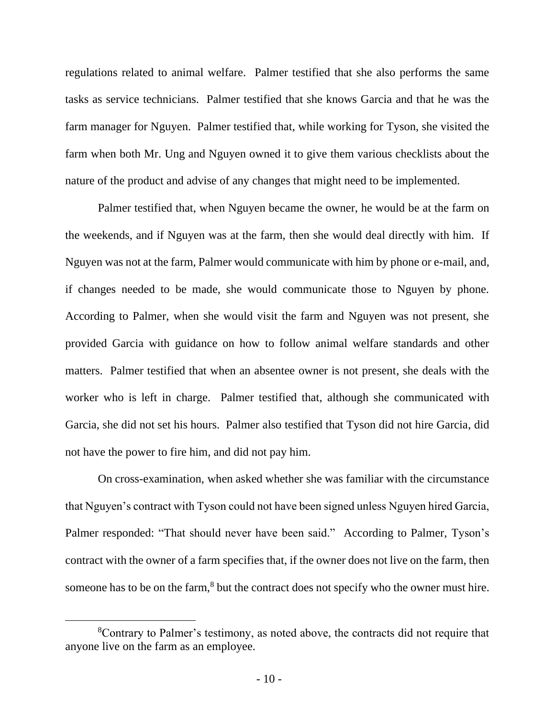regulations related to animal welfare. Palmer testified that she also performs the same tasks as service technicians. Palmer testified that she knows Garcia and that he was the farm manager for Nguyen. Palmer testified that, while working for Tyson, she visited the farm when both Mr. Ung and Nguyen owned it to give them various checklists about the nature of the product and advise of any changes that might need to be implemented.

Palmer testified that, when Nguyen became the owner, he would be at the farm on the weekends, and if Nguyen was at the farm, then she would deal directly with him. If Nguyen was not at the farm, Palmer would communicate with him by phone or e-mail, and, if changes needed to be made, she would communicate those to Nguyen by phone. According to Palmer, when she would visit the farm and Nguyen was not present, she provided Garcia with guidance on how to follow animal welfare standards and other matters. Palmer testified that when an absentee owner is not present, she deals with the worker who is left in charge. Palmer testified that, although she communicated with Garcia, she did not set his hours. Palmer also testified that Tyson did not hire Garcia, did not have the power to fire him, and did not pay him.

On cross-examination, when asked whether she was familiar with the circumstance that Nguyen's contract with Tyson could not have been signed unless Nguyen hired Garcia, Palmer responded: "That should never have been said." According to Palmer, Tyson's contract with the owner of a farm specifies that, if the owner does not live on the farm, then someone has to be on the farm,<sup>8</sup> but the contract does not specify who the owner must hire.

<sup>8</sup>Contrary to Palmer's testimony, as noted above, the contracts did not require that anyone live on the farm as an employee.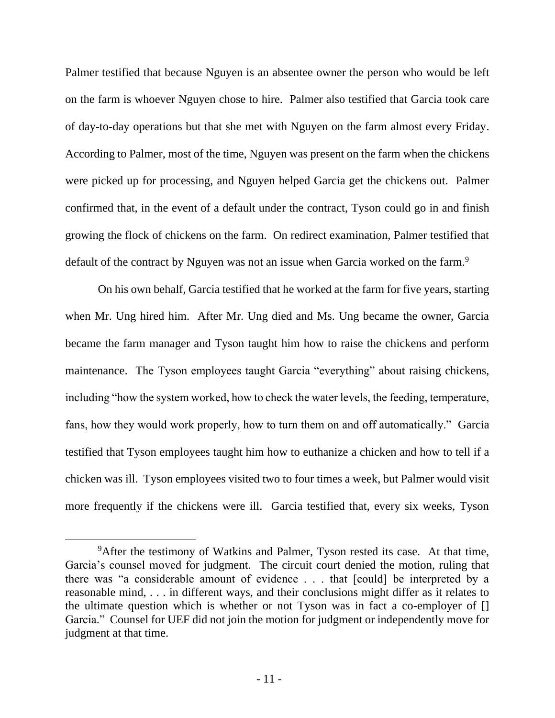Palmer testified that because Nguyen is an absentee owner the person who would be left on the farm is whoever Nguyen chose to hire. Palmer also testified that Garcia took care of day-to-day operations but that she met with Nguyen on the farm almost every Friday. According to Palmer, most of the time, Nguyen was present on the farm when the chickens were picked up for processing, and Nguyen helped Garcia get the chickens out. Palmer confirmed that, in the event of a default under the contract, Tyson could go in and finish growing the flock of chickens on the farm. On redirect examination, Palmer testified that default of the contract by Nguyen was not an issue when Garcia worked on the farm.<sup>9</sup>

On his own behalf, Garcia testified that he worked at the farm for five years, starting when Mr. Ung hired him. After Mr. Ung died and Ms. Ung became the owner, Garcia became the farm manager and Tyson taught him how to raise the chickens and perform maintenance. The Tyson employees taught Garcia "everything" about raising chickens, including "how the system worked, how to check the water levels, the feeding, temperature, fans, how they would work properly, how to turn them on and off automatically." Garcia testified that Tyson employees taught him how to euthanize a chicken and how to tell if a chicken was ill. Tyson employees visited two to four times a week, but Palmer would visit more frequently if the chickens were ill. Garcia testified that, every six weeks, Tyson

<sup>&</sup>lt;sup>9</sup>After the testimony of Watkins and Palmer, Tyson rested its case. At that time, Garcia's counsel moved for judgment. The circuit court denied the motion, ruling that there was "a considerable amount of evidence . . . that [could] be interpreted by a reasonable mind, . . . in different ways, and their conclusions might differ as it relates to the ultimate question which is whether or not Tyson was in fact a co-employer of [] Garcia." Counsel for UEF did not join the motion for judgment or independently move for judgment at that time.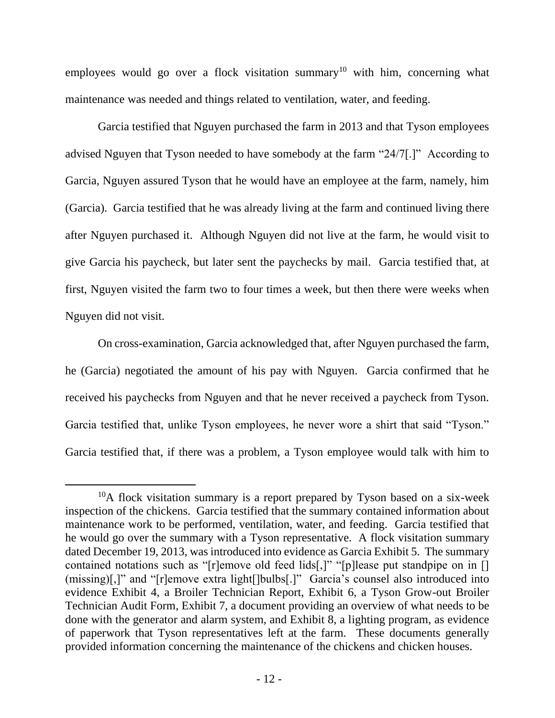employees would go over a flock visitation summary<sup>10</sup> with him, concerning what maintenance was needed and things related to ventilation, water, and feeding.

Garcia testified that Nguyen purchased the farm in 2013 and that Tyson employees advised Nguyen that Tyson needed to have somebody at the farm "24/7[.]" According to Garcia, Nguyen assured Tyson that he would have an employee at the farm, namely, him (Garcia). Garcia testified that he was already living at the farm and continued living there after Nguyen purchased it. Although Nguyen did not live at the farm, he would visit to give Garcia his paycheck, but later sent the paychecks by mail. Garcia testified that, at first, Nguyen visited the farm two to four times a week, but then there were weeks when Nguyen did not visit.

On cross-examination, Garcia acknowledged that, after Nguyen purchased the farm, he (Garcia) negotiated the amount of his pay with Nguyen. Garcia confirmed that he received his paychecks from Nguyen and that he never received a paycheck from Tyson. Garcia testified that, unlike Tyson employees, he never wore a shirt that said "Tyson." Garcia testified that, if there was a problem, a Tyson employee would talk with him to

 $10A$  flock visitation summary is a report prepared by Tyson based on a six-week inspection of the chickens. Garcia testified that the summary contained information about maintenance work to be performed, ventilation, water, and feeding. Garcia testified that he would go over the summary with a Tyson representative. A flock visitation summary dated December 19, 2013, was introduced into evidence as Garcia Exhibit 5. The summary contained notations such as "[r]emove old feed lids[,]" "[p]lease put standpipe on in [] (missing)[,]" and "[r]emove extra light[]bulbs[.]" Garcia's counsel also introduced into evidence Exhibit 4, a Broiler Technician Report, Exhibit 6, a Tyson Grow-out Broiler Technician Audit Form, Exhibit 7, a document providing an overview of what needs to be done with the generator and alarm system, and Exhibit 8, a lighting program, as evidence of paperwork that Tyson representatives left at the farm. These documents generally provided information concerning the maintenance of the chickens and chicken houses.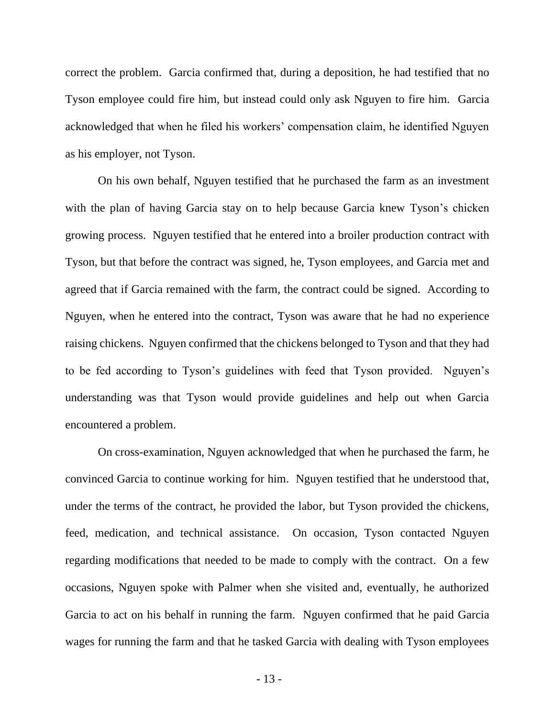correct the problem. Garcia confirmed that, during a deposition, he had testified that no Tyson employee could fire him, but instead could only ask Nguyen to fire him. Garcia acknowledged that when he filed his workers' compensation claim, he identified Nguyen as his employer, not Tyson.

On his own behalf, Nguyen testified that he purchased the farm as an investment with the plan of having Garcia stay on to help because Garcia knew Tyson's chicken growing process. Nguyen testified that he entered into a broiler production contract with Tyson, but that before the contract was signed, he, Tyson employees, and Garcia met and agreed that if Garcia remained with the farm, the contract could be signed. According to Nguyen, when he entered into the contract, Tyson was aware that he had no experience raising chickens. Nguyen confirmed that the chickens belonged to Tyson and that they had to be fed according to Tyson's guidelines with feed that Tyson provided. Nguyen's understanding was that Tyson would provide guidelines and help out when Garcia encountered a problem.

On cross-examination, Nguyen acknowledged that when he purchased the farm, he convinced Garcia to continue working for him. Nguyen testified that he understood that, under the terms of the contract, he provided the labor, but Tyson provided the chickens, feed, medication, and technical assistance. On occasion, Tyson contacted Nguyen regarding modifications that needed to be made to comply with the contract. On a few occasions, Nguyen spoke with Palmer when she visited and, eventually, he authorized Garcia to act on his behalf in running the farm. Nguyen confirmed that he paid Garcia wages for running the farm and that he tasked Garcia with dealing with Tyson employees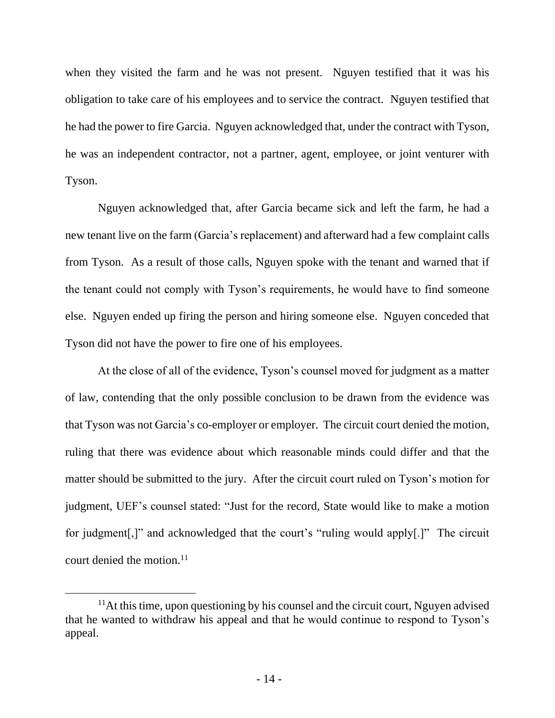when they visited the farm and he was not present. Nguyen testified that it was his obligation to take care of his employees and to service the contract. Nguyen testified that he had the power to fire Garcia. Nguyen acknowledged that, under the contract with Tyson, he was an independent contractor, not a partner, agent, employee, or joint venturer with Tyson.

Nguyen acknowledged that, after Garcia became sick and left the farm, he had a new tenant live on the farm (Garcia's replacement) and afterward had a few complaint calls from Tyson. As a result of those calls, Nguyen spoke with the tenant and warned that if the tenant could not comply with Tyson's requirements, he would have to find someone else. Nguyen ended up firing the person and hiring someone else. Nguyen conceded that Tyson did not have the power to fire one of his employees.

At the close of all of the evidence, Tyson's counsel moved for judgment as a matter of law, contending that the only possible conclusion to be drawn from the evidence was that Tyson was not Garcia's co-employer or employer. The circuit court denied the motion, ruling that there was evidence about which reasonable minds could differ and that the matter should be submitted to the jury. After the circuit court ruled on Tyson's motion for judgment, UEF's counsel stated: "Just for the record, State would like to make a motion for judgment[,]" and acknowledged that the court's "ruling would apply[.]" The circuit court denied the motion.<sup>11</sup>

 $<sup>11</sup>$ At this time, upon questioning by his counsel and the circuit court, Nguyen advised</sup> that he wanted to withdraw his appeal and that he would continue to respond to Tyson's appeal.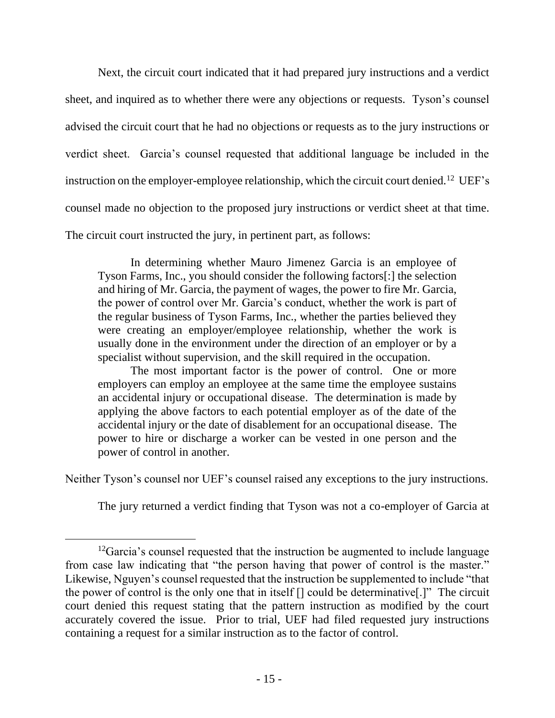Next, the circuit court indicated that it had prepared jury instructions and a verdict sheet, and inquired as to whether there were any objections or requests. Tyson's counsel advised the circuit court that he had no objections or requests as to the jury instructions or verdict sheet. Garcia's counsel requested that additional language be included in the instruction on the employer-employee relationship, which the circuit court denied.<sup>12</sup> UEF's counsel made no objection to the proposed jury instructions or verdict sheet at that time. The circuit court instructed the jury, in pertinent part, as follows:

In determining whether Mauro Jimenez Garcia is an employee of Tyson Farms, Inc., you should consider the following factors[:] the selection and hiring of Mr. Garcia, the payment of wages, the power to fire Mr. Garcia, the power of control over Mr. Garcia's conduct, whether the work is part of the regular business of Tyson Farms, Inc., whether the parties believed they were creating an employer/employee relationship, whether the work is usually done in the environment under the direction of an employer or by a specialist without supervision, and the skill required in the occupation.

The most important factor is the power of control. One or more employers can employ an employee at the same time the employee sustains an accidental injury or occupational disease. The determination is made by applying the above factors to each potential employer as of the date of the accidental injury or the date of disablement for an occupational disease. The power to hire or discharge a worker can be vested in one person and the power of control in another.

Neither Tyson's counsel nor UEF's counsel raised any exceptions to the jury instructions.

The jury returned a verdict finding that Tyson was not a co-employer of Garcia at

 $12$ Garcia's counsel requested that the instruction be augmented to include language from case law indicating that "the person having that power of control is the master." Likewise, Nguyen's counsel requested that the instruction be supplemented to include "that the power of control is the only one that in itself [] could be determinative[.]" The circuit court denied this request stating that the pattern instruction as modified by the court accurately covered the issue. Prior to trial, UEF had filed requested jury instructions containing a request for a similar instruction as to the factor of control.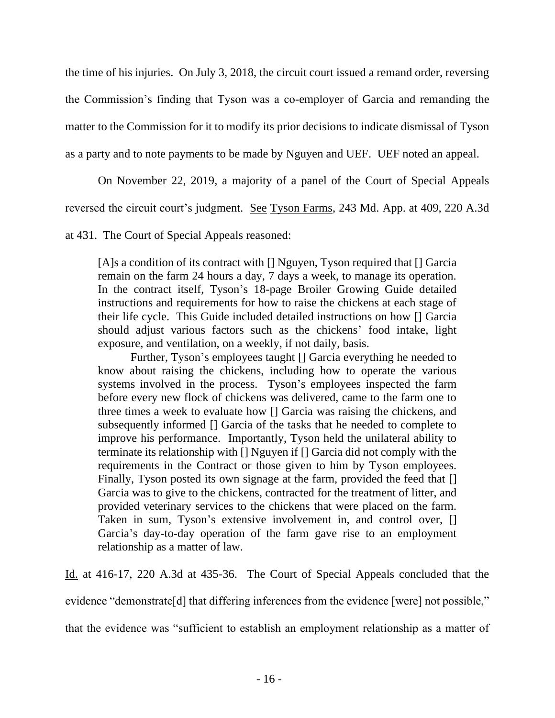the time of his injuries. On July 3, 2018, the circuit court issued a remand order, reversing the Commission's finding that Tyson was a co-employer of Garcia and remanding the matter to the Commission for it to modify its prior decisions to indicate dismissal of Tyson as a party and to note payments to be made by Nguyen and UEF. UEF noted an appeal.

On November 22, 2019, a majority of a panel of the Court of Special Appeals

reversed the circuit court's judgment. See Tyson Farms, 243 Md. App. at 409, 220 A.3d

at 431. The Court of Special Appeals reasoned:

[A]s a condition of its contract with [] Nguyen, Tyson required that [] Garcia remain on the farm 24 hours a day, 7 days a week, to manage its operation. In the contract itself, Tyson's 18-page Broiler Growing Guide detailed instructions and requirements for how to raise the chickens at each stage of their life cycle. This Guide included detailed instructions on how [] Garcia should adjust various factors such as the chickens' food intake, light exposure, and ventilation, on a weekly, if not daily, basis.

Further, Tyson's employees taught [] Garcia everything he needed to know about raising the chickens, including how to operate the various systems involved in the process. Tyson's employees inspected the farm before every new flock of chickens was delivered, came to the farm one to three times a week to evaluate how [] Garcia was raising the chickens, and subsequently informed [] Garcia of the tasks that he needed to complete to improve his performance. Importantly, Tyson held the unilateral ability to terminate its relationship with [] Nguyen if [] Garcia did not comply with the requirements in the Contract or those given to him by Tyson employees. Finally, Tyson posted its own signage at the farm, provided the feed that [] Garcia was to give to the chickens, contracted for the treatment of litter, and provided veterinary services to the chickens that were placed on the farm. Taken in sum, Tyson's extensive involvement in, and control over, [] Garcia's day-to-day operation of the farm gave rise to an employment relationship as a matter of law.

Id. at 416-17, 220 A.3d at 435-36. The Court of Special Appeals concluded that the

evidence "demonstrate<sup>[d]</sup> that differing inferences from the evidence [were] not possible,"

that the evidence was "sufficient to establish an employment relationship as a matter of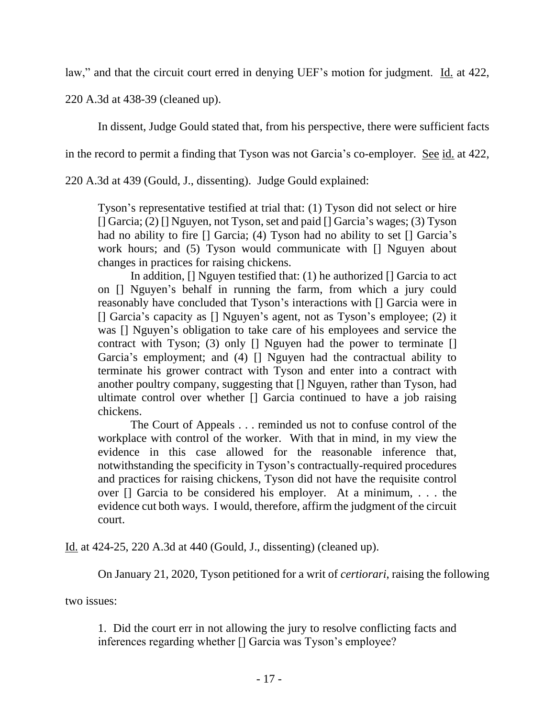law," and that the circuit court erred in denying UEF's motion for judgment. Id. at 422,

220 A.3d at 438-39 (cleaned up).

In dissent, Judge Gould stated that, from his perspective, there were sufficient facts

in the record to permit a finding that Tyson was not Garcia's co-employer. <u>See id.</u> at 422,

220 A.3d at 439 (Gould, J., dissenting). Judge Gould explained:

Tyson's representative testified at trial that: (1) Tyson did not select or hire [] Garcia; (2) [] Nguyen, not Tyson, set and paid [] Garcia's wages; (3) Tyson had no ability to fire [] Garcia; (4) Tyson had no ability to set [] Garcia's work hours; and (5) Tyson would communicate with [] Nguyen about changes in practices for raising chickens.

In addition,  $\prod$  Nguyen testified that: (1) he authorized  $\prod$  Garcia to act on [] Nguyen's behalf in running the farm, from which a jury could reasonably have concluded that Tyson's interactions with [] Garcia were in [] Garcia's capacity as [] Nguyen's agent, not as Tyson's employee; (2) it was [] Nguyen's obligation to take care of his employees and service the contract with Tyson; (3) only [] Nguyen had the power to terminate [] Garcia's employment; and (4) [] Nguyen had the contractual ability to terminate his grower contract with Tyson and enter into a contract with another poultry company, suggesting that [] Nguyen, rather than Tyson, had ultimate control over whether [] Garcia continued to have a job raising chickens.

The Court of Appeals . . . reminded us not to confuse control of the workplace with control of the worker. With that in mind, in my view the evidence in this case allowed for the reasonable inference that, notwithstanding the specificity in Tyson's contractually-required procedures and practices for raising chickens, Tyson did not have the requisite control over [] Garcia to be considered his employer. At a minimum, . . . the evidence cut both ways. I would, therefore, affirm the judgment of the circuit court.

Id. at 424-25, 220 A.3d at 440 (Gould, J., dissenting) (cleaned up).

On January 21, 2020, Tyson petitioned for a writ of *certiorari*, raising the following

two issues:

1. Did the court err in not allowing the jury to resolve conflicting facts and inferences regarding whether [] Garcia was Tyson's employee?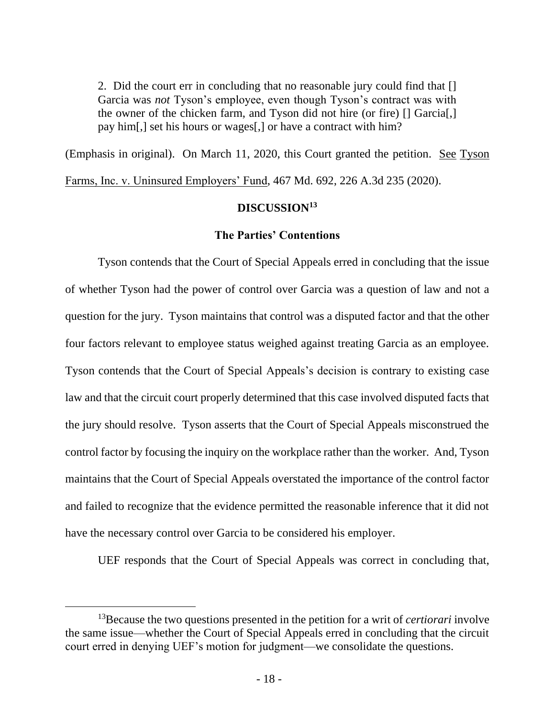2. Did the court err in concluding that no reasonable jury could find that [] Garcia was *not* Tyson's employee, even though Tyson's contract was with the owner of the chicken farm, and Tyson did not hire (or fire) [] Garcia[,] pay him[,] set his hours or wages[,] or have a contract with him?

(Emphasis in original). On March 11, 2020, this Court granted the petition. See Tyson

Farms, Inc. v. Uninsured Employers' Fund, 467 Md. 692, 226 A.3d 235 (2020).

### **DISCUSSION<sup>13</sup>**

### **The Parties' Contentions**

Tyson contends that the Court of Special Appeals erred in concluding that the issue of whether Tyson had the power of control over Garcia was a question of law and not a question for the jury. Tyson maintains that control was a disputed factor and that the other four factors relevant to employee status weighed against treating Garcia as an employee. Tyson contends that the Court of Special Appeals's decision is contrary to existing case law and that the circuit court properly determined that this case involved disputed facts that the jury should resolve. Tyson asserts that the Court of Special Appeals misconstrued the control factor by focusing the inquiry on the workplace rather than the worker. And, Tyson maintains that the Court of Special Appeals overstated the importance of the control factor and failed to recognize that the evidence permitted the reasonable inference that it did not have the necessary control over Garcia to be considered his employer.

UEF responds that the Court of Special Appeals was correct in concluding that,

<sup>13</sup>Because the two questions presented in the petition for a writ of *certiorari* involve the same issue—whether the Court of Special Appeals erred in concluding that the circuit court erred in denying UEF's motion for judgment—we consolidate the questions.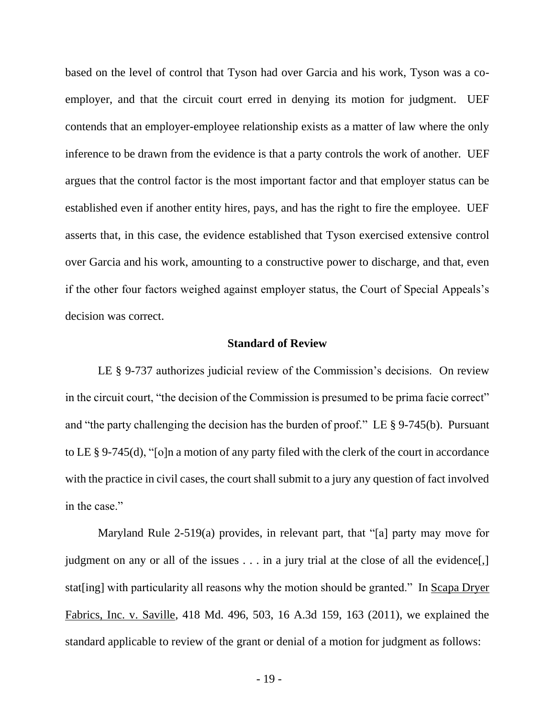based on the level of control that Tyson had over Garcia and his work, Tyson was a coemployer, and that the circuit court erred in denying its motion for judgment. UEF contends that an employer-employee relationship exists as a matter of law where the only inference to be drawn from the evidence is that a party controls the work of another. UEF argues that the control factor is the most important factor and that employer status can be established even if another entity hires, pays, and has the right to fire the employee. UEF asserts that, in this case, the evidence established that Tyson exercised extensive control over Garcia and his work, amounting to a constructive power to discharge, and that, even if the other four factors weighed against employer status, the Court of Special Appeals's decision was correct.

#### **Standard of Review**

LE § 9-737 authorizes judicial review of the Commission's decisions. On review in the circuit court, "the decision of the Commission is presumed to be prima facie correct" and "the party challenging the decision has the burden of proof." LE § 9-745(b). Pursuant to LE § 9-745(d), "[o]n a motion of any party filed with the clerk of the court in accordance with the practice in civil cases, the court shall submit to a jury any question of fact involved in the case."

Maryland Rule 2-519(a) provides, in relevant part, that "[a] party may move for judgment on any or all of the issues . . . in a jury trial at the close of all the evidence[,] stat[ing] with particularity all reasons why the motion should be granted." In Scapa Dryer Fabrics, Inc. v. Saville, 418 Md. 496, 503, 16 A.3d 159, 163 (2011), we explained the standard applicable to review of the grant or denial of a motion for judgment as follows: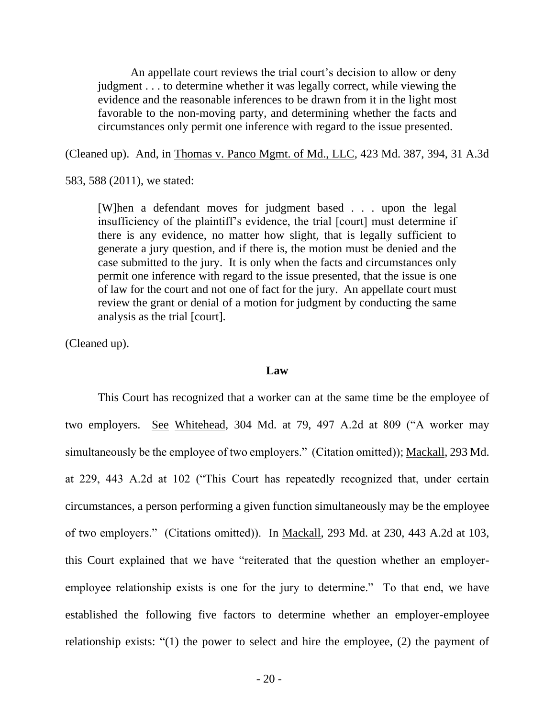An appellate court reviews the trial court's decision to allow or deny judgment . . . to determine whether it was legally correct, while viewing the evidence and the reasonable inferences to be drawn from it in the light most favorable to the non-moving party, and determining whether the facts and circumstances only permit one inference with regard to the issue presented.

(Cleaned up). And, in Thomas v. Panco Mgmt. of Md., LLC, 423 Md. 387, 394, 31 A.3d

583, 588 (2011), we stated:

[W]hen a defendant moves for judgment based . . . upon the legal insufficiency of the plaintiff's evidence, the trial [court] must determine if there is any evidence, no matter how slight, that is legally sufficient to generate a jury question, and if there is, the motion must be denied and the case submitted to the jury. It is only when the facts and circumstances only permit one inference with regard to the issue presented, that the issue is one of law for the court and not one of fact for the jury. An appellate court must review the grant or denial of a motion for judgment by conducting the same analysis as the trial [court].

(Cleaned up).

#### **Law**

This Court has recognized that a worker can at the same time be the employee of two employers. See Whitehead, 304 Md. at 79, 497 A.2d at 809 ("A worker may simultaneously be the employee of two employers." (Citation omitted)); Mackall, 293 Md. at 229, 443 A.2d at 102 ("This Court has repeatedly recognized that, under certain circumstances, a person performing a given function simultaneously may be the employee of two employers." (Citations omitted)). In Mackall, 293 Md. at 230, 443 A.2d at 103, this Court explained that we have "reiterated that the question whether an employeremployee relationship exists is one for the jury to determine." To that end, we have established the following five factors to determine whether an employer-employee relationship exists: "(1) the power to select and hire the employee, (2) the payment of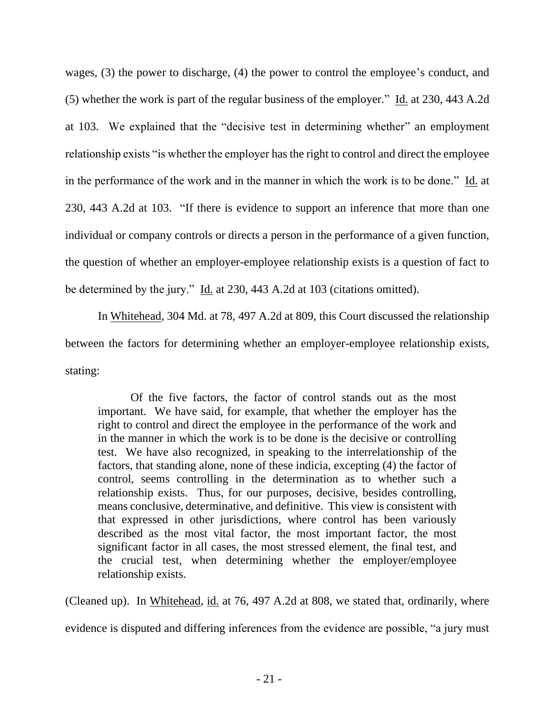wages, (3) the power to discharge, (4) the power to control the employee's conduct, and (5) whether the work is part of the regular business of the employer." Id. at 230, 443 A.2d at 103. We explained that the "decisive test in determining whether" an employment relationship exists "is whether the employer has the right to control and direct the employee in the performance of the work and in the manner in which the work is to be done." Id. at 230, 443 A.2d at 103. "If there is evidence to support an inference that more than one individual or company controls or directs a person in the performance of a given function, the question of whether an employer-employee relationship exists is a question of fact to be determined by the jury." Id. at 230, 443 A.2d at 103 (citations omitted).

In Whitehead, 304 Md. at 78, 497 A.2d at 809, this Court discussed the relationship between the factors for determining whether an employer-employee relationship exists, stating:

Of the five factors, the factor of control stands out as the most important. We have said, for example, that whether the employer has the right to control and direct the employee in the performance of the work and in the manner in which the work is to be done is the decisive or controlling test. We have also recognized, in speaking to the interrelationship of the factors, that standing alone, none of these indicia, excepting (4) the factor of control, seems controlling in the determination as to whether such a relationship exists. Thus, for our purposes, decisive, besides controlling, means conclusive, determinative, and definitive. This view is consistent with that expressed in other jurisdictions, where control has been variously described as the most vital factor, the most important factor, the most significant factor in all cases, the most stressed element, the final test, and the crucial test, when determining whether the employer/employee relationship exists.

(Cleaned up). In Whitehead, id. at 76, 497 A.2d at 808, we stated that, ordinarily, where evidence is disputed and differing inferences from the evidence are possible, "a jury must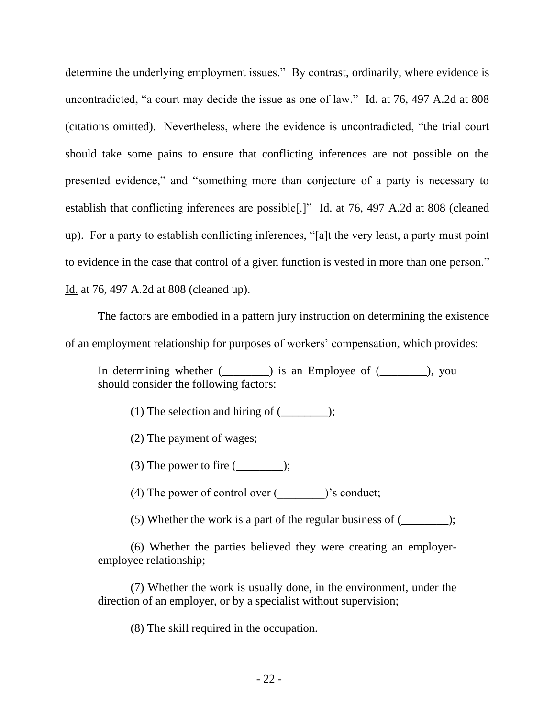determine the underlying employment issues." By contrast, ordinarily, where evidence is uncontradicted, "a court may decide the issue as one of law." Id. at 76, 497 A.2d at 808 (citations omitted). Nevertheless, where the evidence is uncontradicted, "the trial court should take some pains to ensure that conflicting inferences are not possible on the presented evidence," and "something more than conjecture of a party is necessary to establish that conflicting inferences are possible<sup>[1]</sup> Id. at 76, 497 A.2d at 808 (cleaned up). For a party to establish conflicting inferences, "[a]t the very least, a party must point to evidence in the case that control of a given function is vested in more than one person." Id. at 76, 497 A.2d at 808 (cleaned up).

The factors are embodied in a pattern jury instruction on determining the existence of an employment relationship for purposes of workers' compensation, which provides:

In determining whether (\_\_\_\_\_\_\_\_) is an Employee of (\_\_\_\_\_\_\_\_), you should consider the following factors:

(1) The selection and hiring of  $(\_\_\_\_\_);$ 

(2) The payment of wages;

(3) The power to fire  $(\_\_\_\_\_\)_$ ;

(4) The power of control over (\_\_\_\_\_\_\_\_)'s conduct;

(5) Whether the work is a part of the regular business of (\_\_\_\_\_\_\_\_);

(6) Whether the parties believed they were creating an employeremployee relationship;

(7) Whether the work is usually done, in the environment, under the direction of an employer, or by a specialist without supervision;

(8) The skill required in the occupation.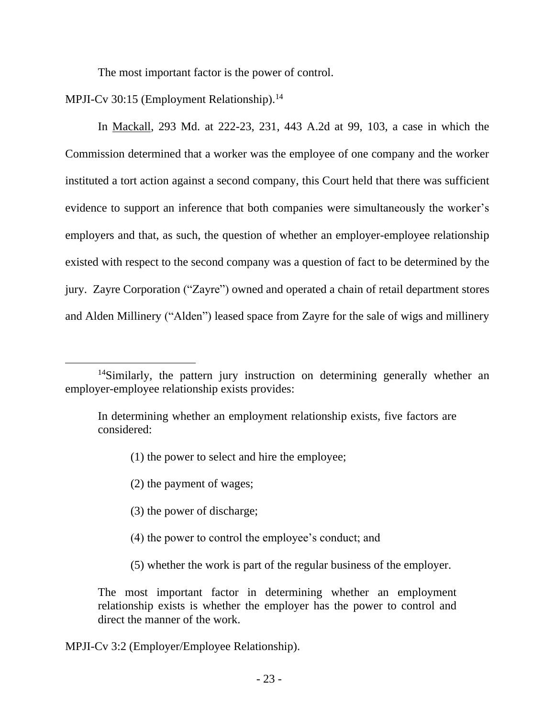The most important factor is the power of control.

MPJI-Cv 30:15 (Employment Relationship).<sup>14</sup>

In Mackall, 293 Md. at 222-23, 231, 443 A.2d at 99, 103, a case in which the Commission determined that a worker was the employee of one company and the worker instituted a tort action against a second company, this Court held that there was sufficient evidence to support an inference that both companies were simultaneously the worker's employers and that, as such, the question of whether an employer-employee relationship existed with respect to the second company was a question of fact to be determined by the jury. Zayre Corporation ("Zayre") owned and operated a chain of retail department stores and Alden Millinery ("Alden") leased space from Zayre for the sale of wigs and millinery

- (1) the power to select and hire the employee;
- (2) the payment of wages;
- (3) the power of discharge;
- (4) the power to control the employee's conduct; and
- (5) whether the work is part of the regular business of the employer.

The most important factor in determining whether an employment relationship exists is whether the employer has the power to control and direct the manner of the work.

MPJI-Cv 3:2 (Employer/Employee Relationship).

<sup>&</sup>lt;sup>14</sup>Similarly, the pattern jury instruction on determining generally whether an employer-employee relationship exists provides:

In determining whether an employment relationship exists, five factors are considered: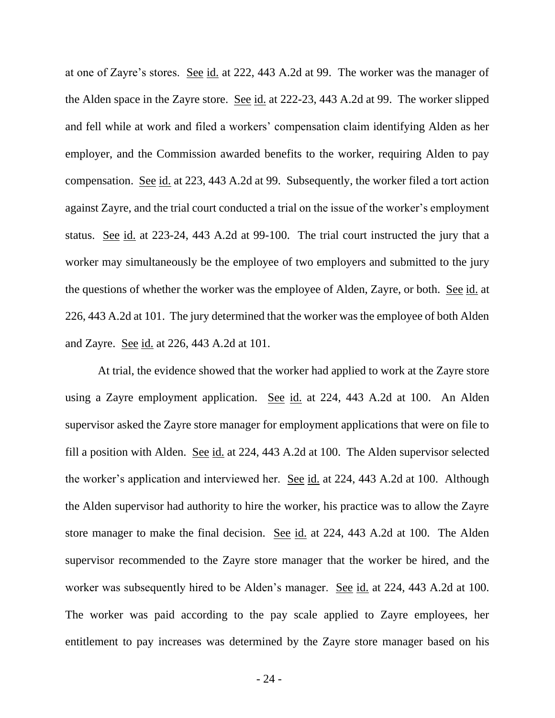at one of Zayre's stores. See id. at 222, 443 A.2d at 99. The worker was the manager of the Alden space in the Zayre store. See id. at 222-23, 443 A.2d at 99. The worker slipped and fell while at work and filed a workers' compensation claim identifying Alden as her employer, and the Commission awarded benefits to the worker, requiring Alden to pay compensation. See id. at 223, 443 A.2d at 99. Subsequently, the worker filed a tort action against Zayre, and the trial court conducted a trial on the issue of the worker's employment status. See id. at 223-24, 443 A.2d at 99-100. The trial court instructed the jury that a worker may simultaneously be the employee of two employers and submitted to the jury the questions of whether the worker was the employee of Alden, Zayre, or both. See id. at 226, 443 A.2d at 101. The jury determined that the worker was the employee of both Alden and Zayre. See id. at 226, 443 A.2d at 101.

At trial, the evidence showed that the worker had applied to work at the Zayre store using a Zayre employment application. See id. at 224, 443 A.2d at 100. An Alden supervisor asked the Zayre store manager for employment applications that were on file to fill a position with Alden. See id. at 224, 443 A.2d at 100. The Alden supervisor selected the worker's application and interviewed her. See id. at 224, 443 A.2d at 100. Although the Alden supervisor had authority to hire the worker, his practice was to allow the Zayre store manager to make the final decision. See id. at 224, 443 A.2d at 100. The Alden supervisor recommended to the Zayre store manager that the worker be hired, and the worker was subsequently hired to be Alden's manager. <u>See id.</u> at 224, 443 A.2d at 100. The worker was paid according to the pay scale applied to Zayre employees, her entitlement to pay increases was determined by the Zayre store manager based on his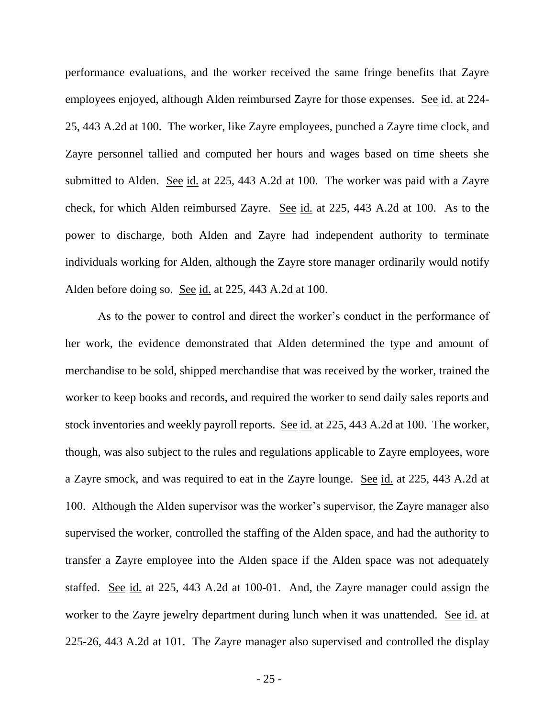performance evaluations, and the worker received the same fringe benefits that Zayre employees enjoyed, although Alden reimbursed Zayre for those expenses. See id. at 224- 25, 443 A.2d at 100. The worker, like Zayre employees, punched a Zayre time clock, and Zayre personnel tallied and computed her hours and wages based on time sheets she submitted to Alden. See id. at 225, 443 A.2d at 100. The worker was paid with a Zayre check, for which Alden reimbursed Zayre. See id. at 225, 443 A.2d at 100. As to the power to discharge, both Alden and Zayre had independent authority to terminate individuals working for Alden, although the Zayre store manager ordinarily would notify Alden before doing so. See id. at 225, 443 A.2d at 100.

As to the power to control and direct the worker's conduct in the performance of her work, the evidence demonstrated that Alden determined the type and amount of merchandise to be sold, shipped merchandise that was received by the worker, trained the worker to keep books and records, and required the worker to send daily sales reports and stock inventories and weekly payroll reports. See id. at 225, 443 A.2d at 100. The worker, though, was also subject to the rules and regulations applicable to Zayre employees, wore a Zayre smock, and was required to eat in the Zayre lounge. See id. at 225, 443 A.2d at 100. Although the Alden supervisor was the worker's supervisor, the Zayre manager also supervised the worker, controlled the staffing of the Alden space, and had the authority to transfer a Zayre employee into the Alden space if the Alden space was not adequately staffed. See id. at 225, 443 A.2d at 100-01. And, the Zayre manager could assign the worker to the Zayre jewelry department during lunch when it was unattended. See id. at 225-26, 443 A.2d at 101. The Zayre manager also supervised and controlled the display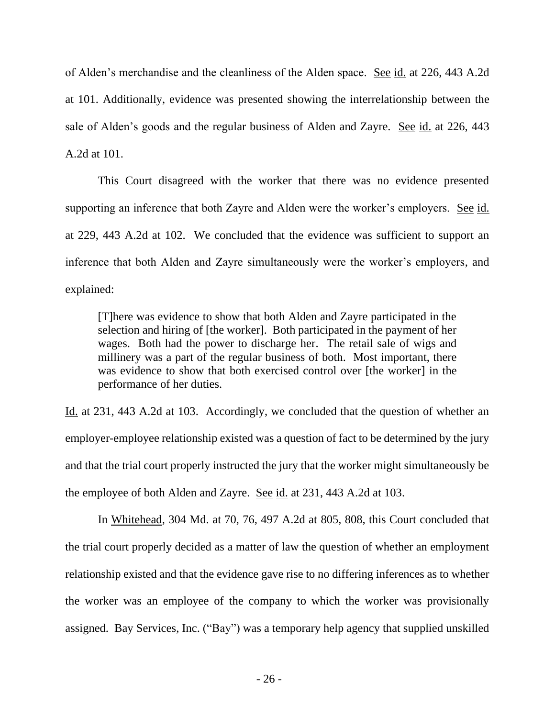of Alden's merchandise and the cleanliness of the Alden space. See id. at 226, 443 A.2d at 101. Additionally, evidence was presented showing the interrelationship between the sale of Alden's goods and the regular business of Alden and Zayre. See id. at 226, 443 A.2d at 101.

This Court disagreed with the worker that there was no evidence presented supporting an inference that both Zayre and Alden were the worker's employers. See id. at 229, 443 A.2d at 102. We concluded that the evidence was sufficient to support an inference that both Alden and Zayre simultaneously were the worker's employers, and explained:

[T]here was evidence to show that both Alden and Zayre participated in the selection and hiring of [the worker]. Both participated in the payment of her wages. Both had the power to discharge her. The retail sale of wigs and millinery was a part of the regular business of both. Most important, there was evidence to show that both exercised control over [the worker] in the performance of her duties.

Id. at 231, 443 A.2d at 103. Accordingly, we concluded that the question of whether an employer-employee relationship existed was a question of fact to be determined by the jury and that the trial court properly instructed the jury that the worker might simultaneously be the employee of both Alden and Zayre. See id. at 231, 443 A.2d at 103.

In Whitehead, 304 Md. at 70, 76, 497 A.2d at 805, 808, this Court concluded that the trial court properly decided as a matter of law the question of whether an employment relationship existed and that the evidence gave rise to no differing inferences as to whether the worker was an employee of the company to which the worker was provisionally assigned. Bay Services, Inc. ("Bay") was a temporary help agency that supplied unskilled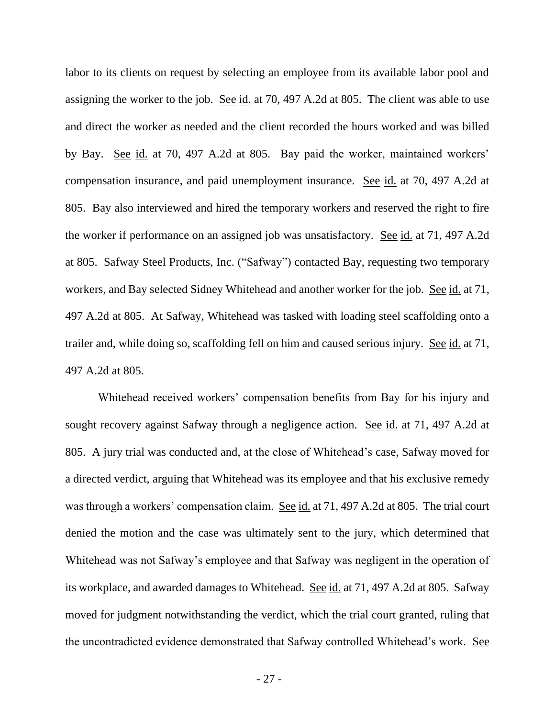labor to its clients on request by selecting an employee from its available labor pool and assigning the worker to the job. See id. at 70, 497 A.2d at 805. The client was able to use and direct the worker as needed and the client recorded the hours worked and was billed by Bay. See id. at 70, 497 A.2d at 805. Bay paid the worker, maintained workers' compensation insurance, and paid unemployment insurance. See id. at 70, 497 A.2d at 805. Bay also interviewed and hired the temporary workers and reserved the right to fire the worker if performance on an assigned job was unsatisfactory. See id. at 71, 497 A.2d at 805. Safway Steel Products, Inc. ("Safway") contacted Bay, requesting two temporary workers, and Bay selected Sidney Whitehead and another worker for the job. See id. at 71, 497 A.2d at 805. At Safway, Whitehead was tasked with loading steel scaffolding onto a trailer and, while doing so, scaffolding fell on him and caused serious injury. See id. at 71, 497 A.2d at 805.

Whitehead received workers' compensation benefits from Bay for his injury and sought recovery against Safway through a negligence action. See id. at 71, 497 A.2d at 805. A jury trial was conducted and, at the close of Whitehead's case, Safway moved for a directed verdict, arguing that Whitehead was its employee and that his exclusive remedy was through a workers' compensation claim. See id. at 71, 497 A.2d at 805. The trial court denied the motion and the case was ultimately sent to the jury, which determined that Whitehead was not Safway's employee and that Safway was negligent in the operation of its workplace, and awarded damages to Whitehead. See id. at 71, 497 A.2d at 805. Safway moved for judgment notwithstanding the verdict, which the trial court granted, ruling that the uncontradicted evidence demonstrated that Safway controlled Whitehead's work. See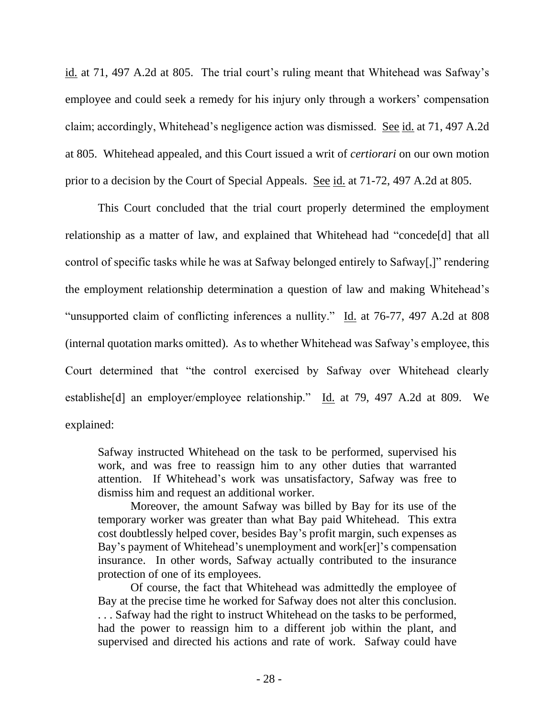id. at 71, 497 A.2d at 805. The trial court's ruling meant that Whitehead was Safway's employee and could seek a remedy for his injury only through a workers' compensation claim; accordingly, Whitehead's negligence action was dismissed. See id. at 71, 497 A.2d at 805. Whitehead appealed, and this Court issued a writ of *certiorari* on our own motion prior to a decision by the Court of Special Appeals. See id. at 71-72, 497 A.2d at 805.

This Court concluded that the trial court properly determined the employment relationship as a matter of law, and explained that Whitehead had "concede[d] that all control of specific tasks while he was at Safway belonged entirely to Safway[,]" rendering the employment relationship determination a question of law and making Whitehead's "unsupported claim of conflicting inferences a nullity." Id. at 76-77, 497 A.2d at 808 (internal quotation marks omitted). As to whether Whitehead was Safway's employee, this Court determined that "the control exercised by Safway over Whitehead clearly establishe<sup>[d]</sup> an employer/employee relationship." Id. at 79, 497 A.2d at 809. We explained:

Safway instructed Whitehead on the task to be performed, supervised his work, and was free to reassign him to any other duties that warranted attention. If Whitehead's work was unsatisfactory, Safway was free to dismiss him and request an additional worker.

Moreover, the amount Safway was billed by Bay for its use of the temporary worker was greater than what Bay paid Whitehead. This extra cost doubtlessly helped cover, besides Bay's profit margin, such expenses as Bay's payment of Whitehead's unemployment and work[er]'s compensation insurance. In other words, Safway actually contributed to the insurance protection of one of its employees.

Of course, the fact that Whitehead was admittedly the employee of Bay at the precise time he worked for Safway does not alter this conclusion. . . . Safway had the right to instruct Whitehead on the tasks to be performed, had the power to reassign him to a different job within the plant, and supervised and directed his actions and rate of work. Safway could have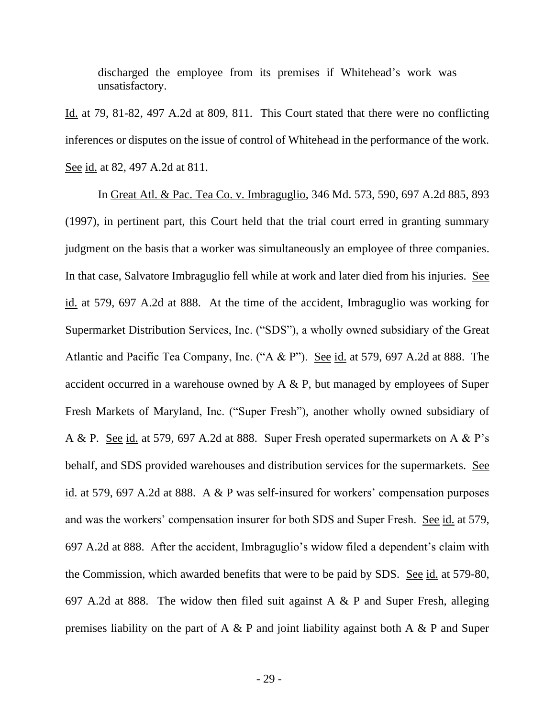discharged the employee from its premises if Whitehead's work was unsatisfactory.

Id. at 79, 81-82, 497 A.2d at 809, 811. This Court stated that there were no conflicting inferences or disputes on the issue of control of Whitehead in the performance of the work. See <u>id.</u> at 82, 497 A.2d at 811.

In Great Atl. & Pac. Tea Co. v. Imbraguglio, 346 Md. 573, 590, 697 A.2d 885, 893 (1997), in pertinent part, this Court held that the trial court erred in granting summary judgment on the basis that a worker was simultaneously an employee of three companies. In that case, Salvatore Imbraguglio fell while at work and later died from his injuries. See id. at 579, 697 A.2d at 888. At the time of the accident, Imbraguglio was working for Supermarket Distribution Services, Inc. ("SDS"), a wholly owned subsidiary of the Great Atlantic and Pacific Tea Company, Inc. ("A & P"). See id. at 579, 697 A.2d at 888. The accident occurred in a warehouse owned by  $A \& P$ , but managed by employees of Super Fresh Markets of Maryland, Inc. ("Super Fresh"), another wholly owned subsidiary of A & P. See id. at 579, 697 A.2d at 888. Super Fresh operated supermarkets on A & P's behalf, and SDS provided warehouses and distribution services for the supermarkets. See id. at 579, 697 A.2d at 888. A & P was self-insured for workers' compensation purposes and was the workers' compensation insurer for both SDS and Super Fresh. See id. at 579, 697 A.2d at 888. After the accident, Imbraguglio's widow filed a dependent's claim with the Commission, which awarded benefits that were to be paid by SDS. See id. at 579-80, 697 A.2d at 888. The widow then filed suit against A & P and Super Fresh, alleging premises liability on the part of A  $\&$  P and joint liability against both A  $\&$  P and Super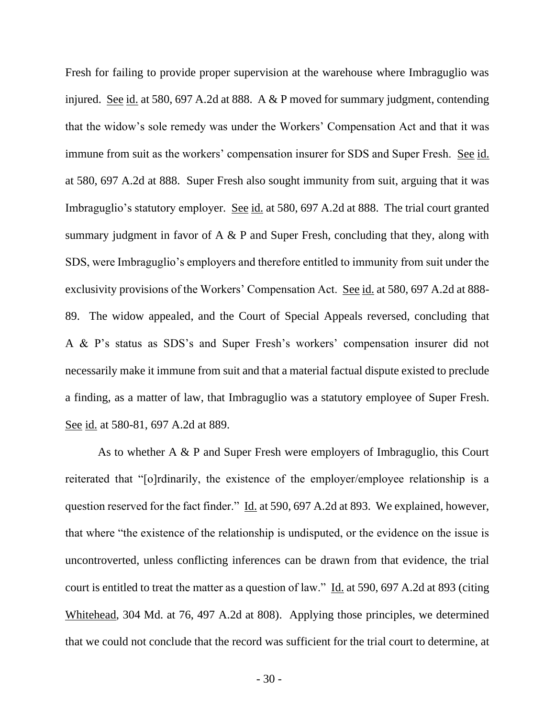Fresh for failing to provide proper supervision at the warehouse where Imbraguglio was injured. See id. at 580, 697 A.2d at 888. A & P moved for summary judgment, contending that the widow's sole remedy was under the Workers' Compensation Act and that it was immune from suit as the workers' compensation insurer for SDS and Super Fresh. See id. at 580, 697 A.2d at 888. Super Fresh also sought immunity from suit, arguing that it was Imbraguglio's statutory employer. See id. at 580, 697 A.2d at 888. The trial court granted summary judgment in favor of A & P and Super Fresh, concluding that they, along with SDS, were Imbraguglio's employers and therefore entitled to immunity from suit under the exclusivity provisions of the Workers' Compensation Act. See id. at 580, 697 A.2d at 888- 89. The widow appealed, and the Court of Special Appeals reversed, concluding that A & P's status as SDS's and Super Fresh's workers' compensation insurer did not necessarily make it immune from suit and that a material factual dispute existed to preclude a finding, as a matter of law, that Imbraguglio was a statutory employee of Super Fresh. See id. at 580-81, 697 A.2d at 889.

As to whether A & P and Super Fresh were employers of Imbraguglio, this Court reiterated that "[o]rdinarily, the existence of the employer/employee relationship is a question reserved for the fact finder." Id. at 590, 697 A.2d at 893. We explained, however, that where "the existence of the relationship is undisputed, or the evidence on the issue is uncontroverted, unless conflicting inferences can be drawn from that evidence, the trial court is entitled to treat the matter as a question of law." Id. at 590, 697 A.2d at 893 (citing Whitehead, 304 Md. at 76, 497 A.2d at 808). Applying those principles, we determined that we could not conclude that the record was sufficient for the trial court to determine, at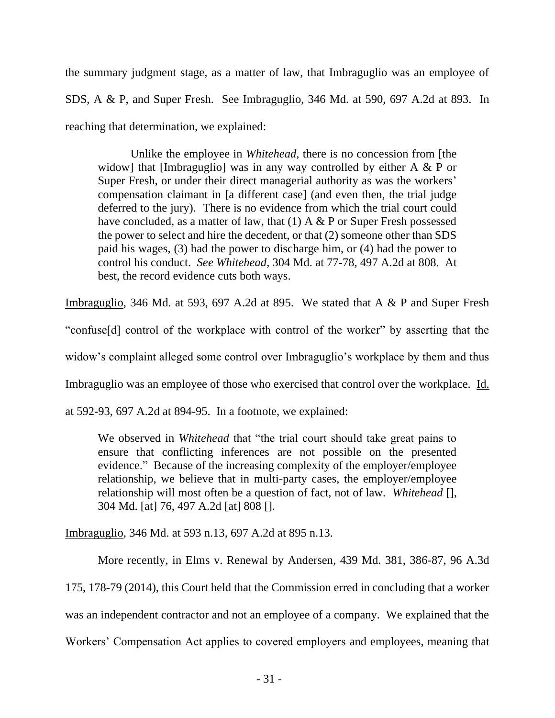the summary judgment stage, as a matter of law, that Imbraguglio was an employee of SDS, A & P, and Super Fresh. See Imbraguglio, 346 Md. at 590, 697 A.2d at 893. In reaching that determination, we explained:

Unlike the employee in *Whitehead*, there is no concession from [the widow] that [Imbraguglio] was in any way controlled by either A & P or Super Fresh, or under their direct managerial authority as was the workers' compensation claimant in [a different case] (and even then, the trial judge deferred to the jury). There is no evidence from which the trial court could have concluded, as a matter of law, that  $(1)$  A & P or Super Fresh possessed the power to select and hire the decedent, or that (2) someone other than SDS paid his wages, (3) had the power to discharge him, or (4) had the power to control his conduct. *See Whitehead*, 304 Md. at 77-78, 497 A.2d at 808. At best, the record evidence cuts both ways.

Imbraguglio, 346 Md. at 593, 697 A.2d at 895. We stated that A & P and Super Fresh

"confuse[d] control of the workplace with control of the worker" by asserting that the

widow's complaint alleged some control over Imbraguglio's workplace by them and thus

Imbraguglio was an employee of those who exercised that control over the workplace. Id.

at 592-93, 697 A.2d at 894-95. In a footnote, we explained:

We observed in *Whitehead* that "the trial court should take great pains to ensure that conflicting inferences are not possible on the presented evidence." Because of the increasing complexity of the employer/employee relationship, we believe that in multi-party cases, the employer/employee relationship will most often be a question of fact, not of law. *Whitehead* [], 304 Md. [at] 76, 497 A.2d [at] 808 [].

Imbraguglio, 346 Md. at 593 n.13, 697 A.2d at 895 n.13.

More recently, in Elms v. Renewal by Andersen, 439 Md. 381, 386-87, 96 A.3d 175, 178-79 (2014), this Court held that the Commission erred in concluding that a worker was an independent contractor and not an employee of a company. We explained that the Workers' Compensation Act applies to covered employers and employees, meaning that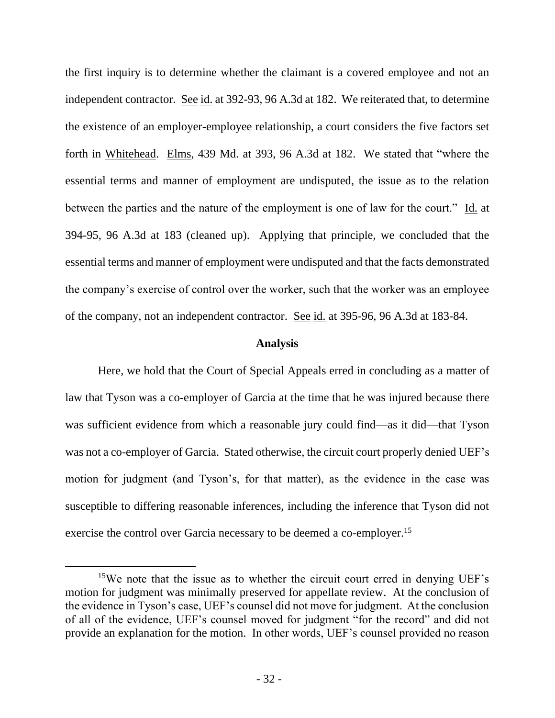the first inquiry is to determine whether the claimant is a covered employee and not an independent contractor. See id. at 392-93, 96 A.3d at 182. We reiterated that, to determine the existence of an employer-employee relationship, a court considers the five factors set forth in Whitehead. Elms, 439 Md. at 393, 96 A.3d at 182. We stated that "where the essential terms and manner of employment are undisputed, the issue as to the relation between the parties and the nature of the employment is one of law for the court." Id. at 394-95, 96 A.3d at 183 (cleaned up). Applying that principle, we concluded that the essential terms and manner of employment were undisputed and that the facts demonstrated the company's exercise of control over the worker, such that the worker was an employee of the company, not an independent contractor. See id. at 395-96, 96 A.3d at 183-84.

### **Analysis**

Here, we hold that the Court of Special Appeals erred in concluding as a matter of law that Tyson was a co-employer of Garcia at the time that he was injured because there was sufficient evidence from which a reasonable jury could find—as it did—that Tyson was not a co-employer of Garcia. Stated otherwise, the circuit court properly denied UEF's motion for judgment (and Tyson's, for that matter), as the evidence in the case was susceptible to differing reasonable inferences, including the inference that Tyson did not exercise the control over Garcia necessary to be deemed a co-employer.<sup>15</sup>

<sup>&</sup>lt;sup>15</sup>We note that the issue as to whether the circuit court erred in denying UEF's motion for judgment was minimally preserved for appellate review. At the conclusion of the evidence in Tyson's case, UEF's counsel did not move for judgment. At the conclusion of all of the evidence, UEF's counsel moved for judgment "for the record" and did not provide an explanation for the motion. In other words, UEF's counsel provided no reason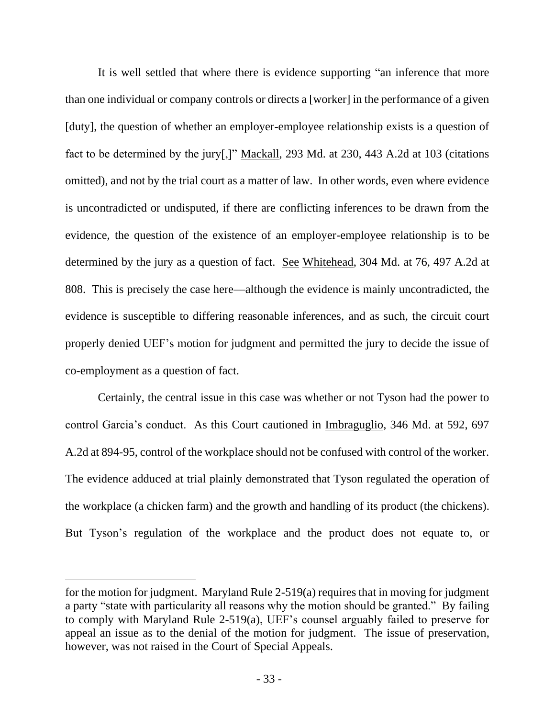It is well settled that where there is evidence supporting "an inference that more than one individual or company controls or directs a [worker] in the performance of a given [duty], the question of whether an employer-employee relationship exists is a question of fact to be determined by the jury[,]" Mackall, 293 Md. at 230, 443 A.2d at 103 (citations omitted), and not by the trial court as a matter of law. In other words, even where evidence is uncontradicted or undisputed, if there are conflicting inferences to be drawn from the evidence, the question of the existence of an employer-employee relationship is to be determined by the jury as a question of fact. See Whitehead, 304 Md. at 76, 497 A.2d at 808. This is precisely the case here—although the evidence is mainly uncontradicted, the evidence is susceptible to differing reasonable inferences, and as such, the circuit court properly denied UEF's motion for judgment and permitted the jury to decide the issue of co-employment as a question of fact.

Certainly, the central issue in this case was whether or not Tyson had the power to control Garcia's conduct. As this Court cautioned in Imbraguglio, 346 Md. at 592, 697 A.2d at 894-95, control of the workplace should not be confused with control of the worker. The evidence adduced at trial plainly demonstrated that Tyson regulated the operation of the workplace (a chicken farm) and the growth and handling of its product (the chickens). But Tyson's regulation of the workplace and the product does not equate to, or

for the motion for judgment. Maryland Rule 2-519(a) requires that in moving for judgment a party "state with particularity all reasons why the motion should be granted." By failing to comply with Maryland Rule 2-519(a), UEF's counsel arguably failed to preserve for appeal an issue as to the denial of the motion for judgment. The issue of preservation, however, was not raised in the Court of Special Appeals.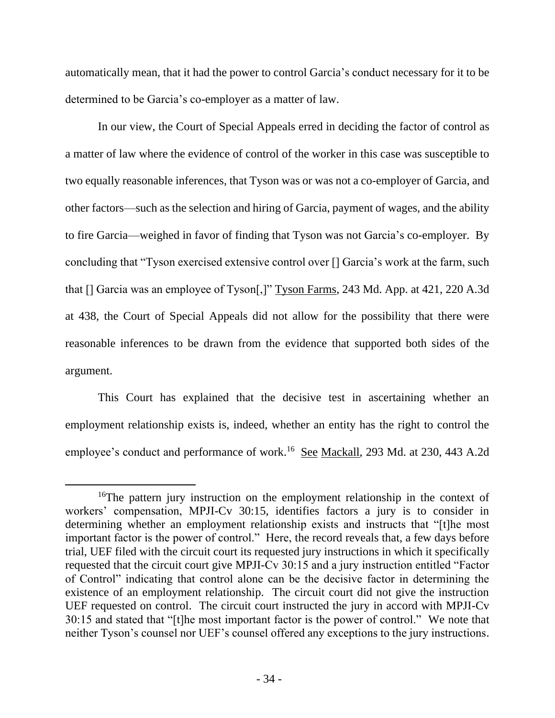automatically mean, that it had the power to control Garcia's conduct necessary for it to be determined to be Garcia's co-employer as a matter of law.

In our view, the Court of Special Appeals erred in deciding the factor of control as a matter of law where the evidence of control of the worker in this case was susceptible to two equally reasonable inferences, that Tyson was or was not a co-employer of Garcia, and other factors—such as the selection and hiring of Garcia, payment of wages, and the ability to fire Garcia—weighed in favor of finding that Tyson was not Garcia's co-employer. By concluding that "Tyson exercised extensive control over [] Garcia's work at the farm, such that [] Garcia was an employee of Tyson[,]" Tyson Farms, 243 Md. App. at 421, 220 A.3d at 438, the Court of Special Appeals did not allow for the possibility that there were reasonable inferences to be drawn from the evidence that supported both sides of the argument.

This Court has explained that the decisive test in ascertaining whether an employment relationship exists is, indeed, whether an entity has the right to control the employee's conduct and performance of work.<sup>16</sup> See Mackall, 293 Md. at 230, 443 A.2d

<sup>&</sup>lt;sup>16</sup>The pattern jury instruction on the employment relationship in the context of workers' compensation, MPJI-Cv 30:15, identifies factors a jury is to consider in determining whether an employment relationship exists and instructs that "[t]he most important factor is the power of control." Here, the record reveals that, a few days before trial, UEF filed with the circuit court its requested jury instructions in which it specifically requested that the circuit court give MPJI-Cv 30:15 and a jury instruction entitled "Factor of Control" indicating that control alone can be the decisive factor in determining the existence of an employment relationship. The circuit court did not give the instruction UEF requested on control. The circuit court instructed the jury in accord with MPJI-Cv 30:15 and stated that "[t]he most important factor is the power of control." We note that neither Tyson's counsel nor UEF's counsel offered any exceptions to the jury instructions.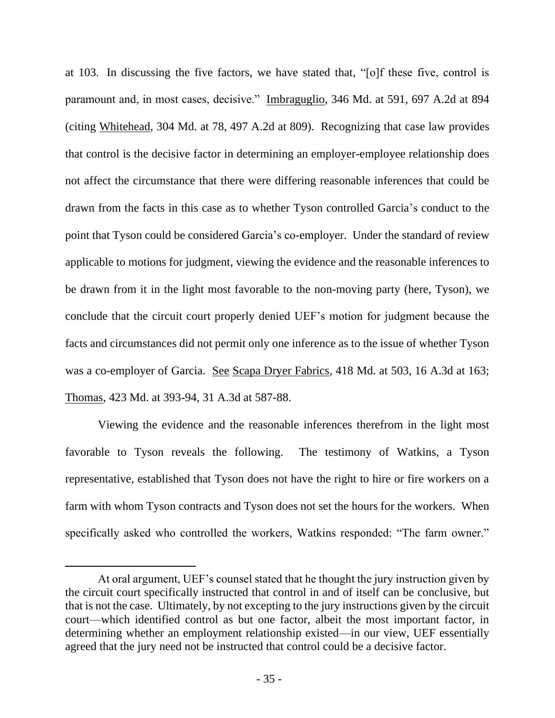at 103. In discussing the five factors, we have stated that, "[o]f these five, control is paramount and, in most cases, decisive." Imbraguglio, 346 Md. at 591, 697 A.2d at 894 (citing Whitehead, 304 Md. at 78, 497 A.2d at 809). Recognizing that case law provides that control is the decisive factor in determining an employer-employee relationship does not affect the circumstance that there were differing reasonable inferences that could be drawn from the facts in this case as to whether Tyson controlled Garcia's conduct to the point that Tyson could be considered Garcia's co-employer. Under the standard of review applicable to motions for judgment, viewing the evidence and the reasonable inferences to be drawn from it in the light most favorable to the non-moving party (here, Tyson), we conclude that the circuit court properly denied UEF's motion for judgment because the facts and circumstances did not permit only one inference as to the issue of whether Tyson was a co-employer of Garcia. See Scapa Dryer Fabrics, 418 Md. at 503, 16 A.3d at 163; Thomas, 423 Md. at 393-94, 31 A.3d at 587-88.

Viewing the evidence and the reasonable inferences therefrom in the light most favorable to Tyson reveals the following. The testimony of Watkins, a Tyson representative, established that Tyson does not have the right to hire or fire workers on a farm with whom Tyson contracts and Tyson does not set the hours for the workers. When specifically asked who controlled the workers, Watkins responded: "The farm owner."

At oral argument, UEF's counsel stated that he thought the jury instruction given by the circuit court specifically instructed that control in and of itself can be conclusive, but that is not the case. Ultimately, by not excepting to the jury instructions given by the circuit court—which identified control as but one factor, albeit the most important factor, in determining whether an employment relationship existed—in our view, UEF essentially agreed that the jury need not be instructed that control could be a decisive factor.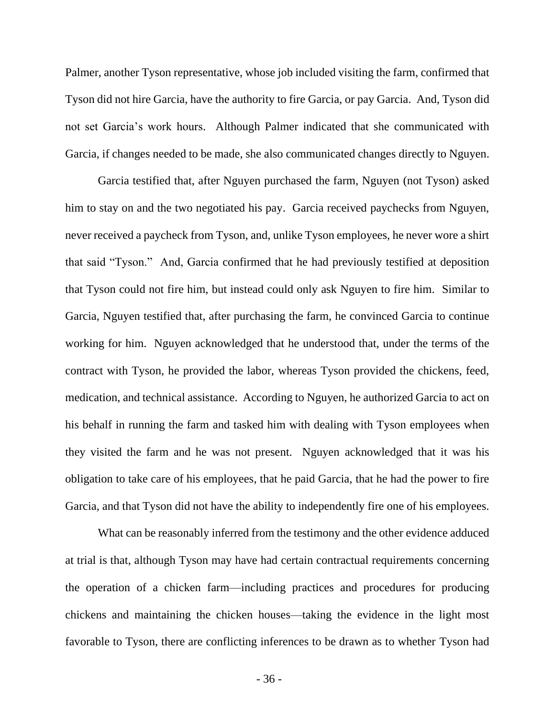Palmer, another Tyson representative, whose job included visiting the farm, confirmed that Tyson did not hire Garcia, have the authority to fire Garcia, or pay Garcia. And, Tyson did not set Garcia's work hours. Although Palmer indicated that she communicated with Garcia, if changes needed to be made, she also communicated changes directly to Nguyen.

Garcia testified that, after Nguyen purchased the farm, Nguyen (not Tyson) asked him to stay on and the two negotiated his pay. Garcia received paychecks from Nguyen, never received a paycheck from Tyson, and, unlike Tyson employees, he never wore a shirt that said "Tyson." And, Garcia confirmed that he had previously testified at deposition that Tyson could not fire him, but instead could only ask Nguyen to fire him. Similar to Garcia, Nguyen testified that, after purchasing the farm, he convinced Garcia to continue working for him. Nguyen acknowledged that he understood that, under the terms of the contract with Tyson, he provided the labor, whereas Tyson provided the chickens, feed, medication, and technical assistance. According to Nguyen, he authorized Garcia to act on his behalf in running the farm and tasked him with dealing with Tyson employees when they visited the farm and he was not present. Nguyen acknowledged that it was his obligation to take care of his employees, that he paid Garcia, that he had the power to fire Garcia, and that Tyson did not have the ability to independently fire one of his employees.

What can be reasonably inferred from the testimony and the other evidence adduced at trial is that, although Tyson may have had certain contractual requirements concerning the operation of a chicken farm—including practices and procedures for producing chickens and maintaining the chicken houses—taking the evidence in the light most favorable to Tyson, there are conflicting inferences to be drawn as to whether Tyson had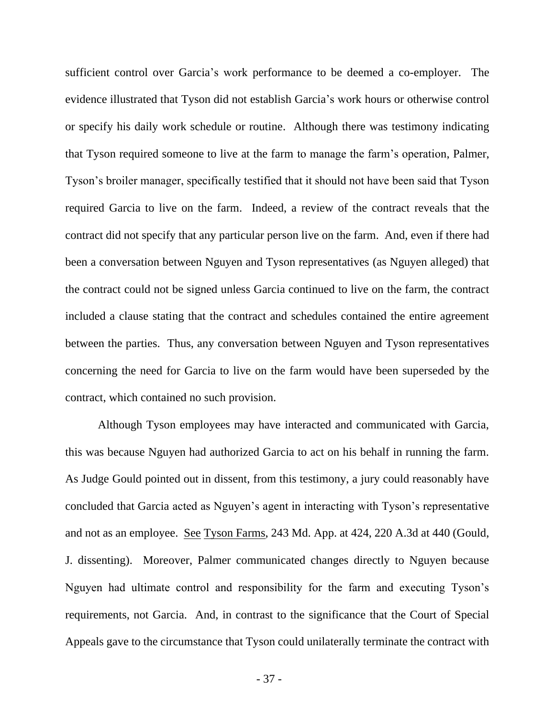sufficient control over Garcia's work performance to be deemed a co-employer. The evidence illustrated that Tyson did not establish Garcia's work hours or otherwise control or specify his daily work schedule or routine. Although there was testimony indicating that Tyson required someone to live at the farm to manage the farm's operation, Palmer, Tyson's broiler manager, specifically testified that it should not have been said that Tyson required Garcia to live on the farm. Indeed, a review of the contract reveals that the contract did not specify that any particular person live on the farm. And, even if there had been a conversation between Nguyen and Tyson representatives (as Nguyen alleged) that the contract could not be signed unless Garcia continued to live on the farm, the contract included a clause stating that the contract and schedules contained the entire agreement between the parties. Thus, any conversation between Nguyen and Tyson representatives concerning the need for Garcia to live on the farm would have been superseded by the contract, which contained no such provision.

Although Tyson employees may have interacted and communicated with Garcia, this was because Nguyen had authorized Garcia to act on his behalf in running the farm. As Judge Gould pointed out in dissent, from this testimony, a jury could reasonably have concluded that Garcia acted as Nguyen's agent in interacting with Tyson's representative and not as an employee. See Tyson Farms, 243 Md. App. at 424, 220 A.3d at 440 (Gould, J. dissenting). Moreover, Palmer communicated changes directly to Nguyen because Nguyen had ultimate control and responsibility for the farm and executing Tyson's requirements, not Garcia. And, in contrast to the significance that the Court of Special Appeals gave to the circumstance that Tyson could unilaterally terminate the contract with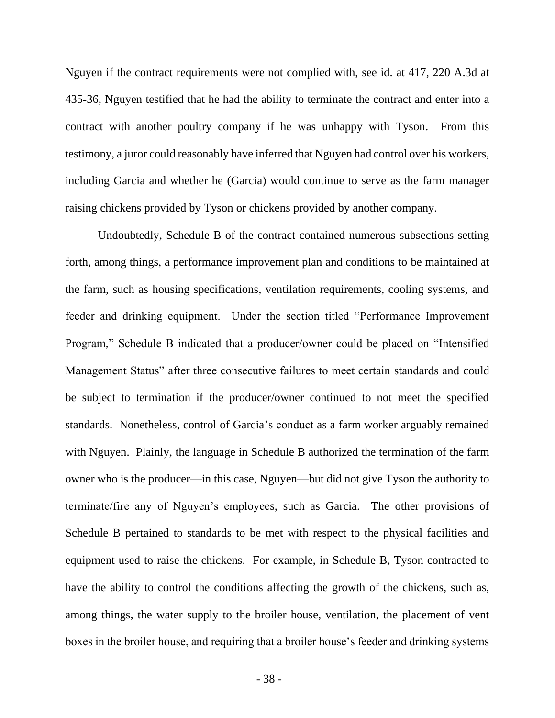Nguyen if the contract requirements were not complied with, see id. at 417, 220 A.3d at 435-36, Nguyen testified that he had the ability to terminate the contract and enter into a contract with another poultry company if he was unhappy with Tyson. From this testimony, a juror could reasonably have inferred that Nguyen had control over his workers, including Garcia and whether he (Garcia) would continue to serve as the farm manager raising chickens provided by Tyson or chickens provided by another company.

Undoubtedly, Schedule B of the contract contained numerous subsections setting forth, among things, a performance improvement plan and conditions to be maintained at the farm, such as housing specifications, ventilation requirements, cooling systems, and feeder and drinking equipment. Under the section titled "Performance Improvement Program," Schedule B indicated that a producer/owner could be placed on "Intensified Management Status" after three consecutive failures to meet certain standards and could be subject to termination if the producer/owner continued to not meet the specified standards. Nonetheless, control of Garcia's conduct as a farm worker arguably remained with Nguyen. Plainly, the language in Schedule B authorized the termination of the farm owner who is the producer—in this case, Nguyen—but did not give Tyson the authority to terminate/fire any of Nguyen's employees, such as Garcia. The other provisions of Schedule B pertained to standards to be met with respect to the physical facilities and equipment used to raise the chickens. For example, in Schedule B, Tyson contracted to have the ability to control the conditions affecting the growth of the chickens, such as, among things, the water supply to the broiler house, ventilation, the placement of vent boxes in the broiler house, and requiring that a broiler house's feeder and drinking systems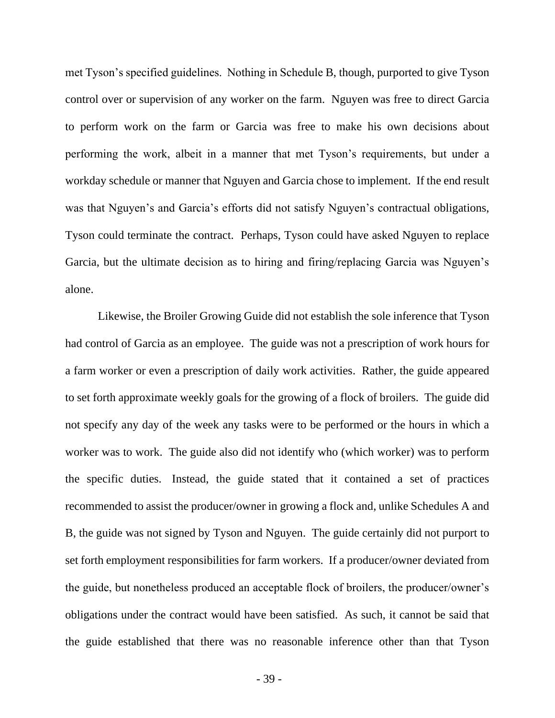met Tyson's specified guidelines. Nothing in Schedule B, though, purported to give Tyson control over or supervision of any worker on the farm. Nguyen was free to direct Garcia to perform work on the farm or Garcia was free to make his own decisions about performing the work, albeit in a manner that met Tyson's requirements, but under a workday schedule or manner that Nguyen and Garcia chose to implement. If the end result was that Nguyen's and Garcia's efforts did not satisfy Nguyen's contractual obligations, Tyson could terminate the contract. Perhaps, Tyson could have asked Nguyen to replace Garcia, but the ultimate decision as to hiring and firing/replacing Garcia was Nguyen's alone.

Likewise, the Broiler Growing Guide did not establish the sole inference that Tyson had control of Garcia as an employee. The guide was not a prescription of work hours for a farm worker or even a prescription of daily work activities. Rather, the guide appeared to set forth approximate weekly goals for the growing of a flock of broilers. The guide did not specify any day of the week any tasks were to be performed or the hours in which a worker was to work. The guide also did not identify who (which worker) was to perform the specific duties. Instead, the guide stated that it contained a set of practices recommended to assist the producer/owner in growing a flock and, unlike Schedules A and B, the guide was not signed by Tyson and Nguyen. The guide certainly did not purport to set forth employment responsibilities for farm workers. If a producer/owner deviated from the guide, but nonetheless produced an acceptable flock of broilers, the producer/owner's obligations under the contract would have been satisfied. As such, it cannot be said that the guide established that there was no reasonable inference other than that Tyson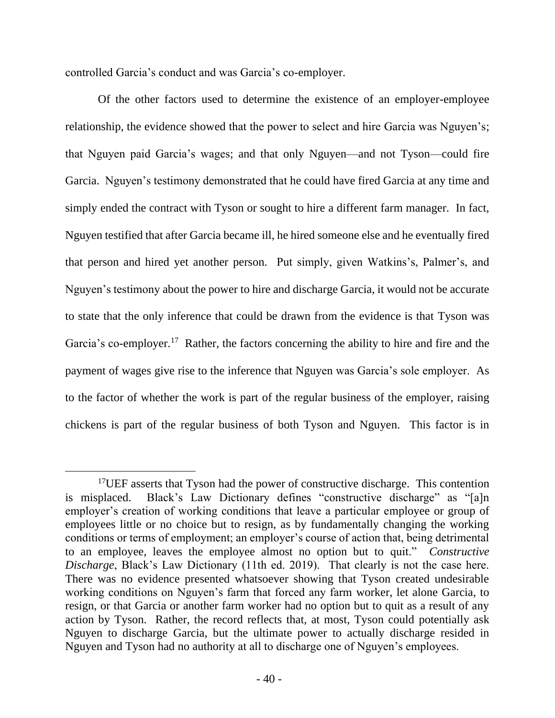controlled Garcia's conduct and was Garcia's co-employer.

Of the other factors used to determine the existence of an employer-employee relationship, the evidence showed that the power to select and hire Garcia was Nguyen's; that Nguyen paid Garcia's wages; and that only Nguyen—and not Tyson—could fire Garcia. Nguyen's testimony demonstrated that he could have fired Garcia at any time and simply ended the contract with Tyson or sought to hire a different farm manager. In fact, Nguyen testified that after Garcia became ill, he hired someone else and he eventually fired that person and hired yet another person. Put simply, given Watkins's, Palmer's, and Nguyen's testimony about the power to hire and discharge Garcia, it would not be accurate to state that the only inference that could be drawn from the evidence is that Tyson was Garcia's co-employer.<sup>17</sup> Rather, the factors concerning the ability to hire and fire and the payment of wages give rise to the inference that Nguyen was Garcia's sole employer. As to the factor of whether the work is part of the regular business of the employer, raising chickens is part of the regular business of both Tyson and Nguyen. This factor is in

<sup>&</sup>lt;sup>17</sup>UEF asserts that Tyson had the power of constructive discharge. This contention is misplaced. Black's Law Dictionary defines "constructive discharge" as "[a]n employer's creation of working conditions that leave a particular employee or group of employees little or no choice but to resign, as by fundamentally changing the working conditions or terms of employment; an employer's course of action that, being detrimental to an employee, leaves the employee almost no option but to quit." *Constructive Discharge*, Black's Law Dictionary (11th ed. 2019). That clearly is not the case here. There was no evidence presented whatsoever showing that Tyson created undesirable working conditions on Nguyen's farm that forced any farm worker, let alone Garcia, to resign, or that Garcia or another farm worker had no option but to quit as a result of any action by Tyson. Rather, the record reflects that, at most, Tyson could potentially ask Nguyen to discharge Garcia, but the ultimate power to actually discharge resided in Nguyen and Tyson had no authority at all to discharge one of Nguyen's employees.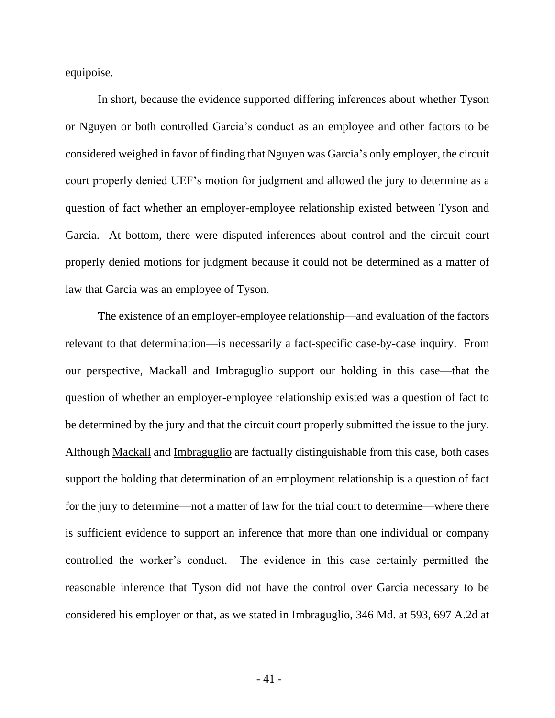equipoise.

In short, because the evidence supported differing inferences about whether Tyson or Nguyen or both controlled Garcia's conduct as an employee and other factors to be considered weighed in favor of finding that Nguyen was Garcia's only employer, the circuit court properly denied UEF's motion for judgment and allowed the jury to determine as a question of fact whether an employer-employee relationship existed between Tyson and Garcia. At bottom, there were disputed inferences about control and the circuit court properly denied motions for judgment because it could not be determined as a matter of law that Garcia was an employee of Tyson.

The existence of an employer-employee relationship—and evaluation of the factors relevant to that determination—is necessarily a fact-specific case-by-case inquiry. From our perspective, Mackall and Imbraguglio support our holding in this case—that the question of whether an employer-employee relationship existed was a question of fact to be determined by the jury and that the circuit court properly submitted the issue to the jury. Although Mackall and Imbraguglio are factually distinguishable from this case, both cases support the holding that determination of an employment relationship is a question of fact for the jury to determine—not a matter of law for the trial court to determine—where there is sufficient evidence to support an inference that more than one individual or company controlled the worker's conduct. The evidence in this case certainly permitted the reasonable inference that Tyson did not have the control over Garcia necessary to be considered his employer or that, as we stated in Imbraguglio, 346 Md. at 593, 697 A.2d at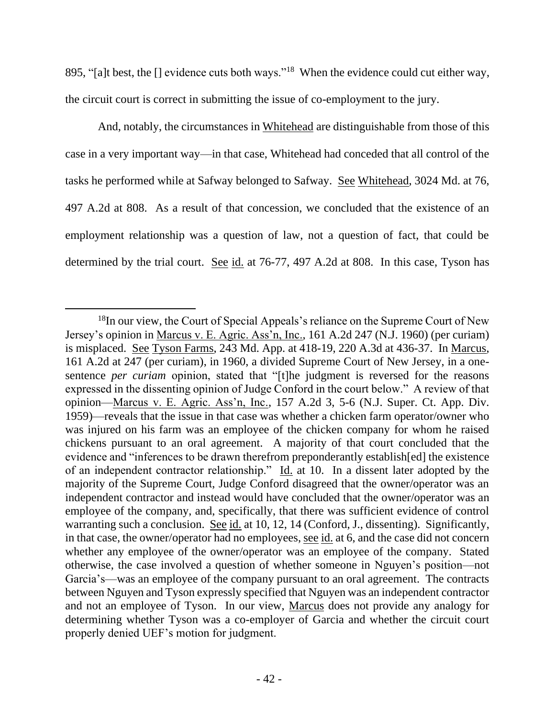895, "[a]t best, the [] evidence cuts both ways."<sup>18</sup> When the evidence could cut either way, the circuit court is correct in submitting the issue of co-employment to the jury.

And, notably, the circumstances in Whitehead are distinguishable from those of this case in a very important way—in that case, Whitehead had conceded that all control of the tasks he performed while at Safway belonged to Safway. See Whitehead, 3024 Md. at 76, 497 A.2d at 808. As a result of that concession, we concluded that the existence of an employment relationship was a question of law, not a question of fact, that could be determined by the trial court. See id. at 76-77, 497 A.2d at 808. In this case, Tyson has

 $18$ In our view, the Court of Special Appeals's reliance on the Supreme Court of New Jersey's opinion in Marcus v. E. Agric. Ass'n, Inc., 161 A.2d 247 (N.J. 1960) (per curiam) is misplaced. See Tyson Farms, 243 Md. App. at 418-19, 220 A.3d at 436-37. In Marcus, 161 A.2d at 247 (per curiam), in 1960, a divided Supreme Court of New Jersey, in a onesentence *per curiam* opinion, stated that "[t]he judgment is reversed for the reasons expressed in the dissenting opinion of Judge Conford in the court below." A review of that opinion—Marcus v. E. Agric. Ass'n, Inc., 157 A.2d 3, 5-6 (N.J. Super. Ct. App. Div. 1959)—reveals that the issue in that case was whether a chicken farm operator/owner who was injured on his farm was an employee of the chicken company for whom he raised chickens pursuant to an oral agreement. A majority of that court concluded that the evidence and "inferences to be drawn therefrom preponderantly establish[ed] the existence of an independent contractor relationship." Id. at 10. In a dissent later adopted by the majority of the Supreme Court, Judge Conford disagreed that the owner/operator was an independent contractor and instead would have concluded that the owner/operator was an employee of the company, and, specifically, that there was sufficient evidence of control warranting such a conclusion. See id. at 10, 12, 14 (Conford, J., dissenting). Significantly, in that case, the owner/operator had no employees, <u>see id.</u> at 6, and the case did not concern whether any employee of the owner/operator was an employee of the company. Stated otherwise, the case involved a question of whether someone in Nguyen's position—not Garcia's—was an employee of the company pursuant to an oral agreement. The contracts between Nguyen and Tyson expressly specified that Nguyen was an independent contractor and not an employee of Tyson. In our view, Marcus does not provide any analogy for determining whether Tyson was a co-employer of Garcia and whether the circuit court properly denied UEF's motion for judgment.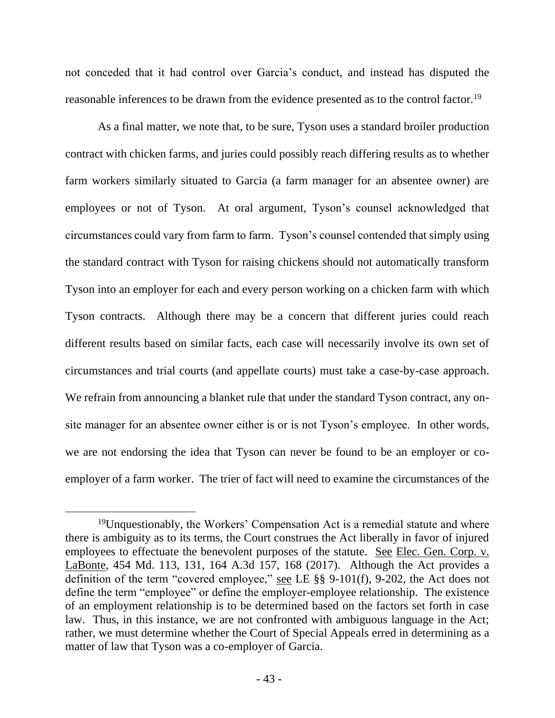not conceded that it had control over Garcia's conduct, and instead has disputed the reasonable inferences to be drawn from the evidence presented as to the control factor.<sup>19</sup>

As a final matter, we note that, to be sure, Tyson uses a standard broiler production contract with chicken farms, and juries could possibly reach differing results as to whether farm workers similarly situated to Garcia (a farm manager for an absentee owner) are employees or not of Tyson. At oral argument, Tyson's counsel acknowledged that circumstances could vary from farm to farm. Tyson's counsel contended that simply using the standard contract with Tyson for raising chickens should not automatically transform Tyson into an employer for each and every person working on a chicken farm with which Tyson contracts. Although there may be a concern that different juries could reach different results based on similar facts, each case will necessarily involve its own set of circumstances and trial courts (and appellate courts) must take a case-by-case approach. We refrain from announcing a blanket rule that under the standard Tyson contract, any onsite manager for an absentee owner either is or is not Tyson's employee. In other words, we are not endorsing the idea that Tyson can never be found to be an employer or coemployer of a farm worker. The trier of fact will need to examine the circumstances of the

<sup>19</sup>Unquestionably, the Workers' Compensation Act is a remedial statute and where there is ambiguity as to its terms, the Court construes the Act liberally in favor of injured employees to effectuate the benevolent purposes of the statute. See Elec. Gen. Corp. v. LaBonte, 454 Md. 113, 131, 164 A.3d 157, 168 (2017). Although the Act provides a definition of the term "covered employee," see LE §§ 9-101(f), 9-202, the Act does not define the term "employee" or define the employer-employee relationship. The existence of an employment relationship is to be determined based on the factors set forth in case law. Thus, in this instance, we are not confronted with ambiguous language in the Act; rather, we must determine whether the Court of Special Appeals erred in determining as a matter of law that Tyson was a co-employer of Garcia.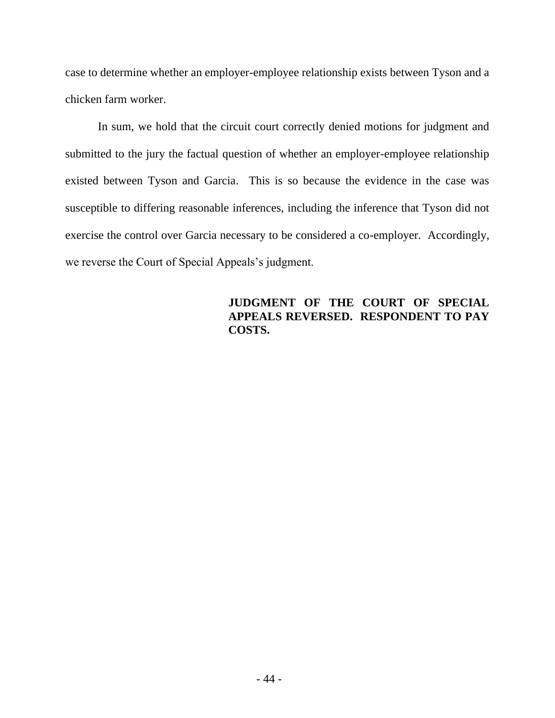case to determine whether an employer-employee relationship exists between Tyson and a chicken farm worker.

In sum, we hold that the circuit court correctly denied motions for judgment and submitted to the jury the factual question of whether an employer-employee relationship existed between Tyson and Garcia. This is so because the evidence in the case was susceptible to differing reasonable inferences, including the inference that Tyson did not exercise the control over Garcia necessary to be considered a co-employer. Accordingly, we reverse the Court of Special Appeals's judgment.

# **JUDGMENT OF THE COURT OF SPECIAL APPEALS REVERSED. RESPONDENT TO PAY COSTS.**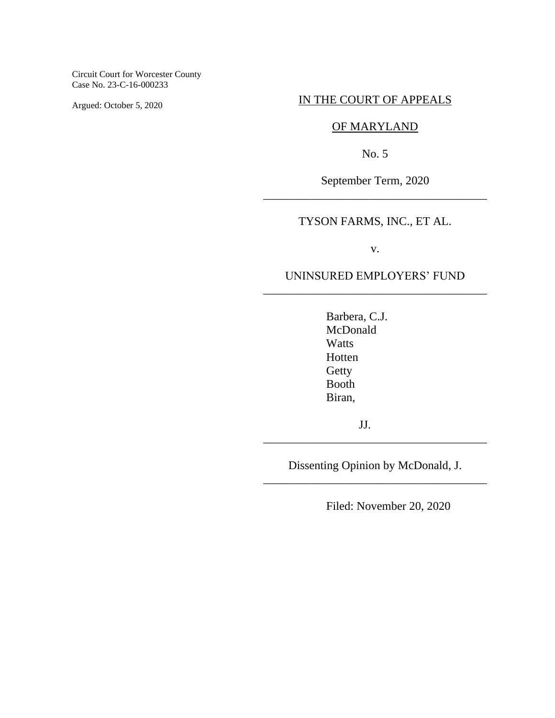Circuit Court for Worcester County Case No. 23-C-16-000233

Argued: October 5, 2020

### IN THE COURT OF APPEALS

### OF MARYLAND

No. 5

September Term, 2020 \_\_\_\_\_\_\_\_\_\_\_\_\_\_\_\_\_\_\_\_\_\_\_\_\_\_\_\_\_\_\_\_\_\_\_\_\_\_

# TYSON FARMS, INC., ET AL.

v.

## UNINSURED EMPLOYERS' FUND \_\_\_\_\_\_\_\_\_\_\_\_\_\_\_\_\_\_\_\_\_\_\_\_\_\_\_\_\_\_\_\_\_\_\_\_\_\_

Barbera, C.J. McDonald Watts Hotten **Getty** Booth Biran,

JJ.

Dissenting Opinion by McDonald, J. \_\_\_\_\_\_\_\_\_\_\_\_\_\_\_\_\_\_\_\_\_\_\_\_\_\_\_\_\_\_\_\_\_\_\_\_\_\_

\_\_\_\_\_\_\_\_\_\_\_\_\_\_\_\_\_\_\_\_\_\_\_\_\_\_\_\_\_\_\_\_\_\_\_\_\_\_

Filed: November 20, 2020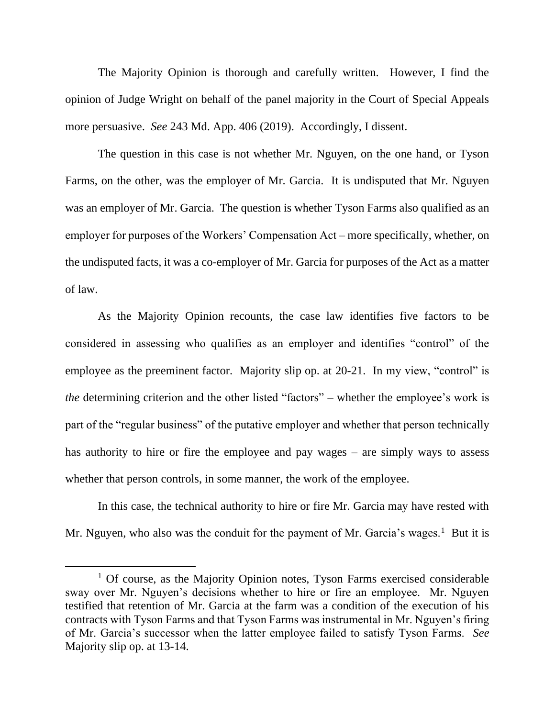The Majority Opinion is thorough and carefully written. However, I find the opinion of Judge Wright on behalf of the panel majority in the Court of Special Appeals more persuasive. *See* 243 Md. App. 406 (2019). Accordingly, I dissent.

The question in this case is not whether Mr. Nguyen, on the one hand, or Tyson Farms, on the other, was the employer of Mr. Garcia. It is undisputed that Mr. Nguyen was an employer of Mr. Garcia. The question is whether Tyson Farms also qualified as an employer for purposes of the Workers' Compensation Act – more specifically, whether, on the undisputed facts, it was a co-employer of Mr. Garcia for purposes of the Act as a matter of law.

As the Majority Opinion recounts, the case law identifies five factors to be considered in assessing who qualifies as an employer and identifies "control" of the employee as the preeminent factor. Majority slip op. at 20-21. In my view, "control" is *the* determining criterion and the other listed "factors" – whether the employee's work is part of the "regular business" of the putative employer and whether that person technically has authority to hire or fire the employee and pay wages – are simply ways to assess whether that person controls, in some manner, the work of the employee.

In this case, the technical authority to hire or fire Mr. Garcia may have rested with Mr. Nguyen, who also was the conduit for the payment of Mr. Garcia's wages.<sup>1</sup> But it is

 $1$  Of course, as the Majority Opinion notes, Tyson Farms exercised considerable sway over Mr. Nguyen's decisions whether to hire or fire an employee. Mr. Nguyen testified that retention of Mr. Garcia at the farm was a condition of the execution of his contracts with Tyson Farms and that Tyson Farms was instrumental in Mr. Nguyen's firing of Mr. Garcia's successor when the latter employee failed to satisfy Tyson Farms. *See* Majority slip op. at 13-14.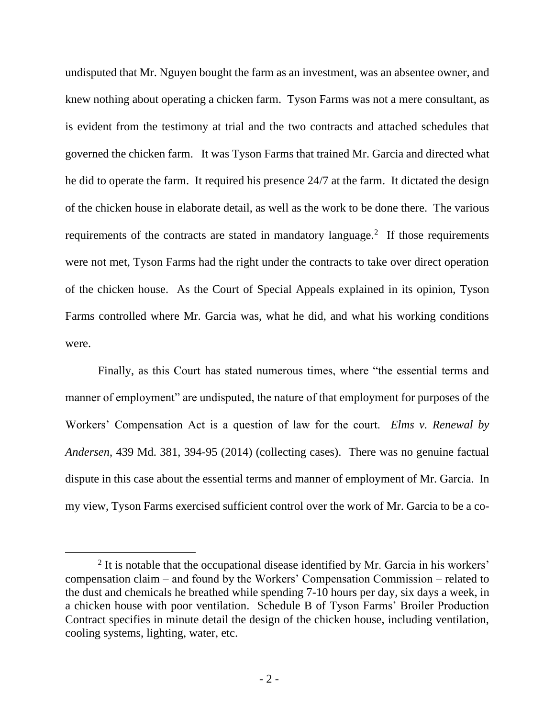undisputed that Mr. Nguyen bought the farm as an investment, was an absentee owner, and knew nothing about operating a chicken farm. Tyson Farms was not a mere consultant, as is evident from the testimony at trial and the two contracts and attached schedules that governed the chicken farm. It was Tyson Farms that trained Mr. Garcia and directed what he did to operate the farm. It required his presence 24/7 at the farm. It dictated the design of the chicken house in elaborate detail, as well as the work to be done there. The various requirements of the contracts are stated in mandatory language.<sup>2</sup> If those requirements were not met, Tyson Farms had the right under the contracts to take over direct operation of the chicken house. As the Court of Special Appeals explained in its opinion, Tyson Farms controlled where Mr. Garcia was, what he did, and what his working conditions were.

Finally, as this Court has stated numerous times, where "the essential terms and manner of employment" are undisputed, the nature of that employment for purposes of the Workers' Compensation Act is a question of law for the court. *Elms v. Renewal by Andersen*, 439 Md. 381, 394-95 (2014) (collecting cases). There was no genuine factual dispute in this case about the essential terms and manner of employment of Mr. Garcia. In my view, Tyson Farms exercised sufficient control over the work of Mr. Garcia to be a co-

<sup>&</sup>lt;sup>2</sup> It is notable that the occupational disease identified by Mr. Garcia in his workers' compensation claim – and found by the Workers' Compensation Commission – related to the dust and chemicals he breathed while spending 7-10 hours per day, six days a week, in a chicken house with poor ventilation. Schedule B of Tyson Farms' Broiler Production Contract specifies in minute detail the design of the chicken house, including ventilation, cooling systems, lighting, water, etc.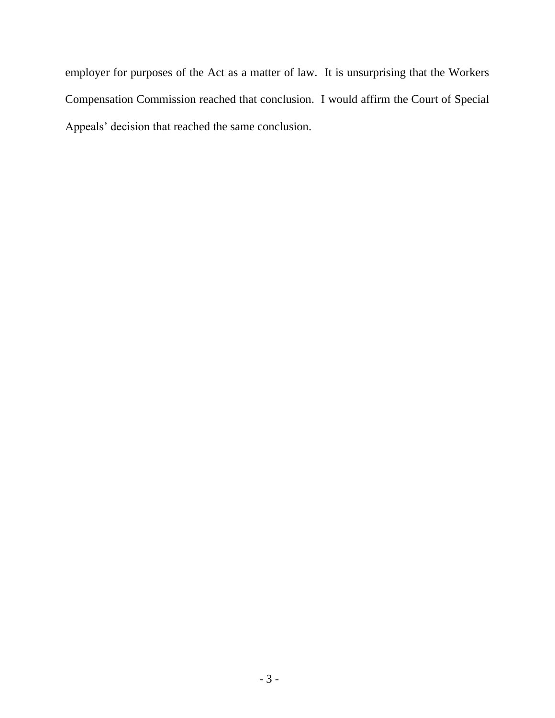employer for purposes of the Act as a matter of law. It is unsurprising that the Workers Compensation Commission reached that conclusion. I would affirm the Court of Special Appeals' decision that reached the same conclusion.